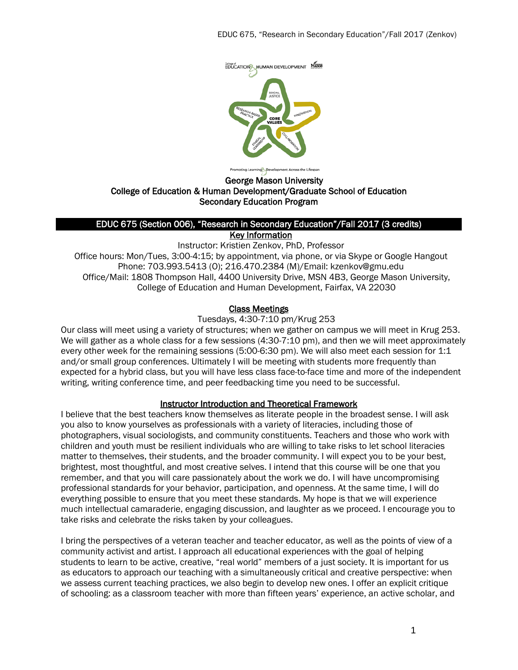

George Mason University

### College of Education & Human Development/Graduate School of Education Secondary Education Program

#### EDUC 675 (Section 006), "Research in Secondary Education"/Fall 2017 (3 credits) Key Information

Instructor: Kristien Zenkov, PhD, Professor Office hours: Mon/Tues, 3:00-4:15; by appointment, via phone, or via Skype or Google Hangout Phone: 703.993.5413 (O); 216.470.2384 (M)/Email: kzenkov@gmu.edu Office/Mail: 1808 Thompson Hall, 4400 University Drive, MSN 4B3, George Mason University, College of Education and Human Development, Fairfax, VA 22030

#### Class Meetings

Tuesdays, 4:30-7:10 pm/Krug 253

Our class will meet using a variety of structures; when we gather on campus we will meet in Krug 253. We will gather as a whole class for a few sessions (4:30-7:10 pm), and then we will meet approximately every other week for the remaining sessions (5:00-6:30 pm). We will also meet each session for 1:1 and/or small group conferences. Ultimately I will be meeting with students more frequently than expected for a hybrid class, but you will have less class face-to-face time and more of the independent writing, writing conference time, and peer feedbacking time you need to be successful.

#### Instructor Introduction and Theoretical Framework

I believe that the best teachers know themselves as literate people in the broadest sense. I will ask you also to know yourselves as professionals with a variety of literacies, including those of photographers, visual sociologists, and community constituents. Teachers and those who work with children and youth must be resilient individuals who are willing to take risks to let school literacies matter to themselves, their students, and the broader community. I will expect you to be your best, brightest, most thoughtful, and most creative selves. I intend that this course will be one that you remember, and that you will care passionately about the work we do. I will have uncompromising professional standards for your behavior, participation, and openness. At the same time, I will do everything possible to ensure that you meet these standards. My hope is that we will experience much intellectual camaraderie, engaging discussion, and laughter as we proceed. I encourage you to take risks and celebrate the risks taken by your colleagues.

I bring the perspectives of a veteran teacher and teacher educator, as well as the points of view of a community activist and artist. I approach all educational experiences with the goal of helping students to learn to be active, creative, "real world" members of a just society. It is important for us as educators to approach our teaching with a simultaneously critical and creative perspective: when we assess current teaching practices, we also begin to develop new ones. I offer an explicit critique of schooling: as a classroom teacher with more than fifteen years' experience, an active scholar, and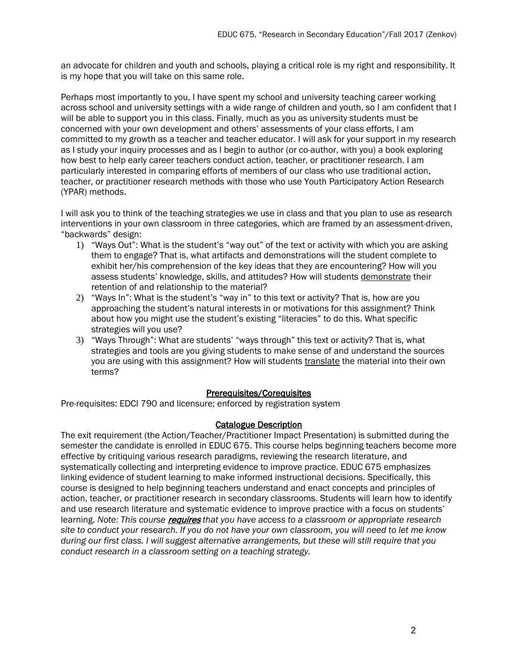an advocate for children and youth and schools, playing a critical role is my right and responsibility. It is my hope that you will take on this same role.

Perhaps most importantly to you, I have spent my school and university teaching career working across school and university settings with a wide range of children and youth, so I am confident that I will be able to support you in this class. Finally, much as you as university students must be concerned with your own development and others' assessments of your class efforts, I am committed to my growth as a teacher and teacher educator. I will ask for your support in my research as I study your inquiry processes and as I begin to author (or co-author, with you) a book exploring how best to help early career teachers conduct action, teacher, or practitioner research. I am particularly interested in comparing efforts of members of our class who use traditional action, teacher, or practitioner research methods with those who use Youth Participatory Action Research (YPAR) methods.

I will ask you to think of the teaching strategies we use in class and that you plan to use as research interventions in your own classroom in three categories, which are framed by an assessment-driven, "backwards" design:

- 1) "Ways Out": What is the student's "way out" of the text or activity with which you are asking them to engage? That is, what artifacts and demonstrations will the student complete to exhibit her/his comprehension of the key ideas that they are encountering? How will you assess students' knowledge, skills, and attitudes? How will students demonstrate their retention of and relationship to the material?
- 2) "Ways In": What is the student's "way in" to this text or activity? That is, how are you approaching the student's natural interests in or motivations for this assignment? Think about how you might use the student's existing "literacies" to do this. What specific strategies will you use?
- 3) "Ways Through": What are students' "ways through" this text or activity? That is, what strategies and tools are you giving students to make sense of and understand the sources you are using with this assignment? How will students translate the material into their own terms?

### Prerequisites/Corequisites

Pre-requisites: EDCI 790 and licensure; enforced by registration system

#### Catalogue Description

The exit requirement (the Action/Teacher/Practitioner Impact Presentation) is submitted during the semester the candidate is enrolled in EDUC 675. This course helps beginning teachers become more effective by critiquing various research paradigms, reviewing the research literature, and systematically collecting and interpreting evidence to improve practice. EDUC 675 emphasizes linking evidence of student learning to make informed instructional decisions. Specifically, this course is designed to help beginning teachers understand and enact concepts and principles of action, teacher, or practitioner research in secondary classrooms. Students will learn how to identify and use research literature and systematic evidence to improve practice with a focus on students' learning. *Note: This course* requires *that you have access to a classroom or appropriate research site to conduct your research. If you do not have your own classroom, you will need to let me know during our first class. I will suggest alternative arrangements, but these will still require that you conduct research in a classroom setting on a teaching strategy.*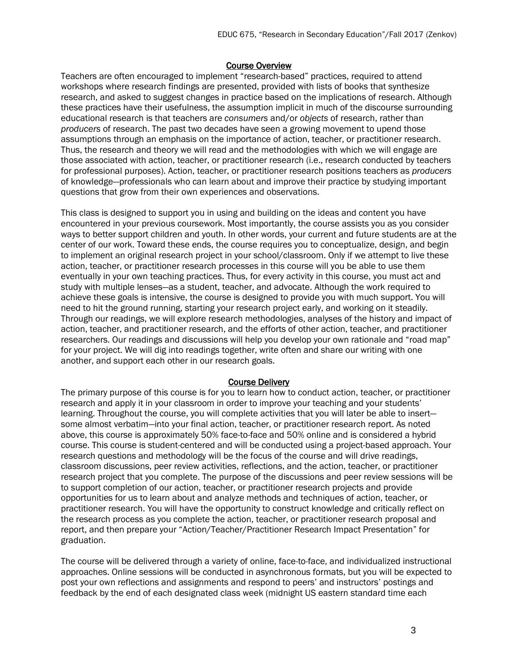#### Course Overview

Teachers are often encouraged to implement "research-based" practices, required to attend workshops where research findings are presented, provided with lists of books that synthesize research, and asked to suggest changes in practice based on the implications of research. Although these practices have their usefulness, the assumption implicit in much of the discourse surrounding educational research is that teachers are *consumers* and/or *objects* of research, rather than *producers* of research. The past two decades have seen a growing movement to upend those assumptions through an emphasis on the importance of action, teacher, or practitioner research. Thus, the research and theory we will read and the methodologies with which we will engage are those associated with action, teacher, or practitioner research (i.e., research conducted by teachers for professional purposes). Action, teacher, or practitioner research positions teachers as *producers* of knowledge—professionals who can learn about and improve their practice by studying important questions that grow from their own experiences and observations.

This class is designed to support you in using and building on the ideas and content you have encountered in your previous coursework. Most importantly, the course assists you as you consider ways to better support children and youth. In other words, your current and future students are at the center of our work. Toward these ends, the course requires you to conceptualize, design, and begin to implement an original research project in your school/classroom. Only if we attempt to live these action, teacher, or practitioner research processes in this course will you be able to use them eventually in your own teaching practices. Thus, for every activity in this course, you must act and study with multiple lenses—as a student, teacher, and advocate. Although the work required to achieve these goals is intensive, the course is designed to provide you with much support. You will need to hit the ground running, starting your research project early, and working on it steadily. Through our readings, we will explore research methodologies, analyses of the history and impact of action, teacher, and practitioner research, and the efforts of other action, teacher, and practitioner researchers. Our readings and discussions will help you develop your own rationale and "road map" for your project. We will dig into readings together, write often and share our writing with one another, and support each other in our research goals.

#### Course Delivery

The primary purpose of this course is for you to learn how to conduct action, teacher, or practitioner research and apply it in your classroom in order to improve your teaching and your students' learning. Throughout the course, you will complete activities that you will later be able to insert some almost verbatim—into your final action, teacher, or practitioner research report. As noted above, this course is approximately 50% face-to-face and 50% online and is considered a hybrid course. This course is student-centered and will be conducted using a project-based approach. Your research questions and methodology will be the focus of the course and will drive readings, classroom discussions, peer review activities, reflections, and the action, teacher, or practitioner research project that you complete. The purpose of the discussions and peer review sessions will be to support completion of our action, teacher, or practitioner research projects and provide opportunities for us to learn about and analyze methods and techniques of action, teacher, or practitioner research. You will have the opportunity to construct knowledge and critically reflect on the research process as you complete the action, teacher, or practitioner research proposal and report, and then prepare your "Action/Teacher/Practitioner Research Impact Presentation" for graduation.

The course will be delivered through a variety of online, face-to-face, and individualized instructional approaches. Online sessions will be conducted in asynchronous formats, but you will be expected to post your own reflections and assignments and respond to peers' and instructors' postings and feedback by the end of each designated class week (midnight US eastern standard time each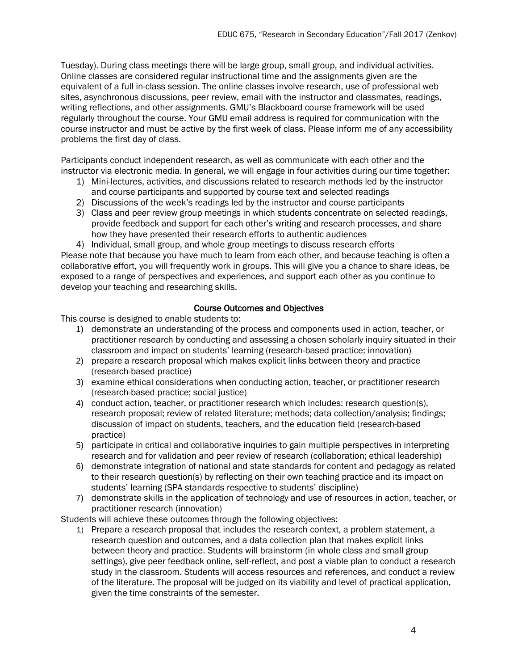Tuesday). During class meetings there will be large group, small group, and individual activities. Online classes are considered regular instructional time and the assignments given are the equivalent of a full in-class session. The online classes involve research, use of professional web sites, asynchronous discussions, peer review, email with the instructor and classmates, readings, writing reflections, and other assignments. GMU's Blackboard course framework will be used regularly throughout the course. Your GMU email address is required for communication with the course instructor and must be active by the first week of class. Please inform me of any accessibility problems the first day of class.

Participants conduct independent research, as well as communicate with each other and the instructor via electronic media. In general, we will engage in four activities during our time together:

- 1) Mini-lectures, activities, and discussions related to research methods led by the instructor and course participants and supported by course text and selected readings
- 2) Discussions of the week's readings led by the instructor and course participants
- 3) Class and peer review group meetings in which students concentrate on selected readings, provide feedback and support for each other's writing and research processes, and share how they have presented their research efforts to authentic audiences
- 4) Individual, small group, and whole group meetings to discuss research efforts

Please note that because you have much to learn from each other, and because teaching is often a collaborative effort, you will frequently work in groups. This will give you a chance to share ideas, be exposed to a range of perspectives and experiences, and support each other as you continue to develop your teaching and researching skills.

#### Course Outcomes and Objectives

This course is designed to enable students to:

- 1) demonstrate an understanding of the process and components used in action, teacher, or practitioner research by conducting and assessing a chosen scholarly inquiry situated in their classroom and impact on students' learning (research-based practice; innovation)
- 2) prepare a research proposal which makes explicit links between theory and practice (research-based practice)
- 3) examine ethical considerations when conducting action, teacher, or practitioner research (research-based practice; social justice)
- 4) conduct action, teacher, or practitioner research which includes: research question(s), research proposal; review of related literature; methods; data collection/analysis; findings; discussion of impact on students, teachers, and the education field (research-based practice)
- 5) participate in critical and collaborative inquiries to gain multiple perspectives in interpreting research and for validation and peer review of research (collaboration; ethical leadership)
- 6) demonstrate integration of national and state standards for content and pedagogy as related to their research question(s) by reflecting on their own teaching practice and its impact on students' learning (SPA standards respective to students' discipline)
- 7) demonstrate skills in the application of technology and use of resources in action, teacher, or practitioner research (innovation)

Students will achieve these outcomes through the following objectives:

1) Prepare a research proposal that includes the research context, a problem statement, a research question and outcomes, and a data collection plan that makes explicit links between theory and practice. Students will brainstorm (in whole class and small group settings), give peer feedback online, self-reflect, and post a viable plan to conduct a research study in the classroom. Students will access resources and references, and conduct a review of the literature. The proposal will be judged on its viability and level of practical application, given the time constraints of the semester.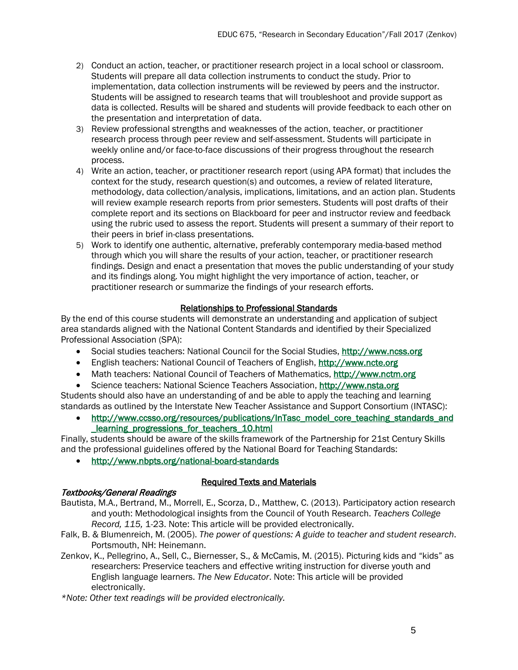- 2) Conduct an action, teacher, or practitioner research project in a local school or classroom. Students will prepare all data collection instruments to conduct the study. Prior to implementation, data collection instruments will be reviewed by peers and the instructor. Students will be assigned to research teams that will troubleshoot and provide support as data is collected. Results will be shared and students will provide feedback to each other on the presentation and interpretation of data.
- 3) Review professional strengths and weaknesses of the action, teacher, or practitioner research process through peer review and self-assessment. Students will participate in weekly online and/or face-to-face discussions of their progress throughout the research process.
- 4) Write an action, teacher, or practitioner research report (using APA format) that includes the context for the study, research question(s) and outcomes, a review of related literature, methodology, data collection/analysis, implications, limitations, and an action plan. Students will review example research reports from prior semesters. Students will post drafts of their complete report and its sections on Blackboard for peer and instructor review and feedback using the rubric used to assess the report. Students will present a summary of their report to their peers in brief in-class presentations.
- 5) Work to identify one authentic, alternative, preferably contemporary media-based method through which you will share the results of your action, teacher, or practitioner research findings. Design and enact a presentation that moves the public understanding of your study and its findings along. You might highlight the very importance of action, teacher, or practitioner research or summarize the findings of your research efforts.

## Relationships to Professional Standards

By the end of this course students will demonstrate an understanding and application of subject area standards aligned with the National Content Standards and identified by their Specialized Professional Association (SPA):

- Social studies teachers: National Council for the Social Studies, [http://www.ncss.org](http://www.ncss.org/)
- English teachers: National Council of Teachers of English, [http://www.ncte.org](http://www.ncte.org/)
- Math teachers: National Council of Teachers of Mathematics, [http://www.nctm.org](http://www.nctm.org/)
- Science teachers: National Science Teachers Association, [http://www.nsta.org](http://www.nsta.org/)

Students should also have an understanding of and be able to apply the teaching and learning standards as outlined by the Interstate New Teacher Assistance and Support Consortium (INTASC):

• [http://www.ccsso.org/resources/publications/InTasc\\_model\\_core\\_teaching\\_standards\\_and](http://www.ccsso.org/resources/publications/InTasc_model_core_teaching_standards_and_learning_progressions_for_teachers_10.html) [\\_learning\\_progressions\\_for\\_teachers\\_10.html](http://www.ccsso.org/resources/publications/InTasc_model_core_teaching_standards_and_learning_progressions_for_teachers_10.html)

Finally, students should be aware of the skills framework of the Partnership for 21st Century Skills and the professional guidelines offered by the National Board for Teaching Standards:

• <http://www.nbpts.org/national-board-standards>

### Textbooks/General Readings

#### Required Texts and Materials

- Bautista, M.A., Bertrand, M., Morrell, E., Scorza, D., Matthew, C. (2013). Participatory action research and youth: Methodological insights from the Council of Youth Research. *Teachers College Record, 115,* 1-23. Note: This article will be provided electronically.
- Falk, B. & Blumenreich, M. (2005). *The power of questions: A guide to teacher and student research*. Portsmouth, NH: Heinemann.
- Zenkov, K., Pellegrino, A., Sell, C., Biernesser, S., & McCamis, M. (2015). Picturing kids and "kids" as researchers: Preservice teachers and effective writing instruction for diverse youth and English language learners. *The New Educator*. Note: This article will be provided electronically.

*\*Note: Other text readings will be provided electronically.*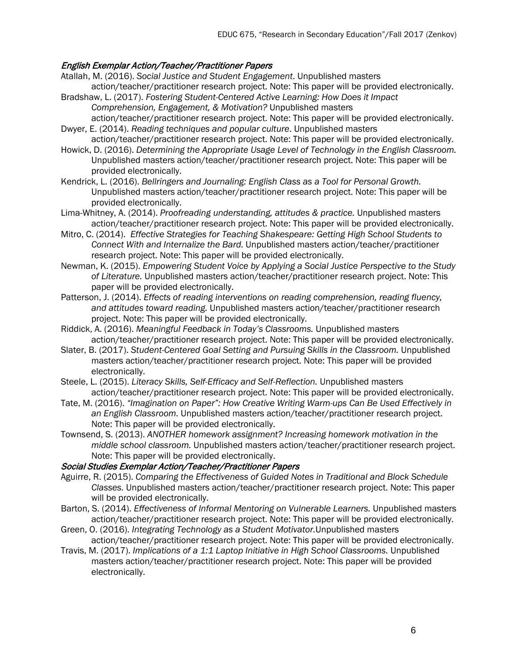## English Exemplar Action/Teacher/Practitioner Papers

- Atallah, M. (2016). *Social Justice and Student Engagement*. Unpublished masters action/teacher/practitioner research project. Note: This paper will be provided electronically.
- Bradshaw, L. (2017). *Fostering Student-Centered Active Learning: How Does it Impact Comprehension, Engagement, & Motivation?* Unpublished masters
- action/teacher/practitioner research project. Note: This paper will be provided electronically. Dwyer, E. (2014). *Reading techniques and popular culture*. Unpublished masters
- action/teacher/practitioner research project. Note: This paper will be provided electronically. Howick, D. (2016). *Determining the Appropriate Usage Level of Technology in the English Classroom.*  Unpublished masters action/teacher/practitioner research project. Note: This paper will be
- provided electronically. Kendrick, L. (2016). *Bellringers and Journaling: English Class as a Tool for Personal Growth.* Unpublished masters action/teacher/practitioner research project. Note: This paper will be provided electronically.
- Lima-Whitney, A. (2014). *Proofreading understanding, attitudes & practice.* Unpublished masters action/teacher/practitioner research project. Note: This paper will be provided electronically.
- Mitro, C. (2014). *Effective Strategies for Teaching Shakespeare: Getting High School Students to Connect With and Internalize the Bard.* Unpublished masters action/teacher/practitioner research project. Note: This paper will be provided electronically.
- Newman, K. (2015). *Empowering Student Voice by Applying a Social Justice Perspective to the Study of Literature.* Unpublished masters action/teacher/practitioner research project. Note: This paper will be provided electronically.
- Patterson, J. (2014). *Effects of reading interventions on reading comprehension, reading fluency, and attitudes toward reading.* Unpublished masters action/teacher/practitioner research project. Note: This paper will be provided electronically.
- Riddick, A. (2016). *Meaningful Feedback in Today's Classrooms.* Unpublished masters action/teacher/practitioner research project. Note: This paper will be provided electronically.
- Slater, B. (2017). *Student-Centered Goal Setting and Pursuing Skills in the Classroom.* Unpublished masters action/teacher/practitioner research project. Note: This paper will be provided electronically.
- Steele, L. (2015). *Literacy Skills, Self-Efficacy and Self-Reflection.* Unpublished masters action/teacher/practitioner research project. Note: This paper will be provided electronically.
- Tate, M. (2016). *"Imagination on Paper": How Creative Writing Warm-ups Can Be Used Effectively in an English Classroom.* Unpublished masters action/teacher/practitioner research project. Note: This paper will be provided electronically.
- Townsend, S. (2013). *ANOTHER homework assignment? Increasing homework motivation in the middle school classroom.* Unpublished masters action/teacher/practitioner research project. Note: This paper will be provided electronically.

### Social Studies Exemplar Action/Teacher/Practitioner Papers

- Aguirre, R. (2015). *Comparing the Effectiveness of Guided Notes in Traditional and Block Schedule Classes.* Unpublished masters action/teacher/practitioner research project. Note: This paper will be provided electronically.
- Barton, S. (2014). *Effectiveness of Informal Mentoring on Vulnerable Learners.* Unpublished masters action/teacher/practitioner research project. Note: This paper will be provided electronically.
- Green, O. (2016). *Integrating Technology as a Student Motivator.*Unpublished masters action/teacher/practitioner research project. Note: This paper will be provided electronically.
- Travis, M. (2017). *Implications of a 1:1 Laptop Initiative in High School Classrooms.* Unpublished masters action/teacher/practitioner research project. Note: This paper will be provided electronically.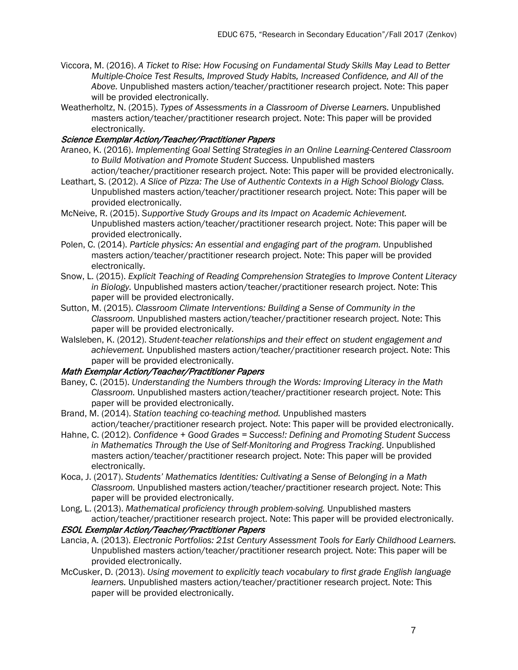- Viccora, M. (2016). *A Ticket to Rise: How Focusing on Fundamental Study Skills May Lead to Better Multiple-Choice Test Results, Improved Study Habits, Increased Confidence, and All of the Above.* Unpublished masters action/teacher/practitioner research project. Note: This paper will be provided electronically.
- Weatherholtz, N. (2015). *Types of Assessments in a Classroom of Diverse Learners.* Unpublished masters action/teacher/practitioner research project. Note: This paper will be provided electronically.

### Science Exemplar Action/Teacher/Practitioner Papers

- Araneo, K. (2016). *Implementing Goal Setting Strategies in an Online Learning-Centered Classroom to Build Motivation and Promote Student Success.* Unpublished masters action/teacher/practitioner research project. Note: This paper will be provided electronically.
- Leathart, S. (2012). *A Slice of Pizza: The Use of Authentic Contexts in a High School Biology Class.* Unpublished masters action/teacher/practitioner research project. Note: This paper will be provided electronically.
- McNeive, R. (2015). *Supportive Study Groups and its Impact on Academic Achievement.* Unpublished masters action/teacher/practitioner research project. Note: This paper will be provided electronically.
- Polen, C. (2014). *Particle physics: An essential and engaging part of the program.* Unpublished masters action/teacher/practitioner research project. Note: This paper will be provided electronically.
- Snow, L. (2015). *Explicit Teaching of Reading Comprehension Strategies to Improve Content Literacy in Biology.* Unpublished masters action/teacher/practitioner research project. Note: This paper will be provided electronically.
- Sutton, M. (2015). *Classroom Climate Interventions: Building a Sense of Community in the Classroom.* Unpublished masters action/teacher/practitioner research project. Note: This paper will be provided electronically.
- Walsleben, K. (2012). *Student-teacher relationships and their effect on student engagement and achievement.* Unpublished masters action/teacher/practitioner research project. Note: This paper will be provided electronically.

### Math Exemplar Action/Teacher/Practitioner Papers

- Baney, C. (2015). *Understanding the Numbers through the Words: Improving Literacy in the Math Classroom.* Unpublished masters action/teacher/practitioner research project. Note: This paper will be provided electronically.
- Brand, M. (2014). *Station teaching co-teaching method.* Unpublished masters action/teacher/practitioner research project. Note: This paper will be provided electronically.
- Hahne, C. (2012). *Confidence + Good Grades = Success!: Defining and Promoting Student Success in Mathematics Through the Use of Self-Monitoring and Progress Tracking*. Unpublished masters action/teacher/practitioner research project. Note: This paper will be provided electronically.
- Koca, J. (2017). *Students' Mathematics Identities: Cultivating a Sense of Belonging in a Math Classroom.* Unpublished masters action/teacher/practitioner research project. Note: This paper will be provided electronically.
- Long, L. (2013). *Mathematical proficiency through problem-solving.* Unpublished masters action/teacher/practitioner research project. Note: This paper will be provided electronically.

### ESOL Exemplar Action/Teacher/Practitioner Papers

- Lancia, A. (2013). *Electronic Portfolios: 21st Century Assessment Tools for Early Childhood Learners.* Unpublished masters action/teacher/practitioner research project. Note: This paper will be provided electronically.
- McCusker, D. (2013). *Using movement to explicitly teach vocabulary to first grade English language learners.* Unpublished masters action/teacher/practitioner research project. Note: This paper will be provided electronically.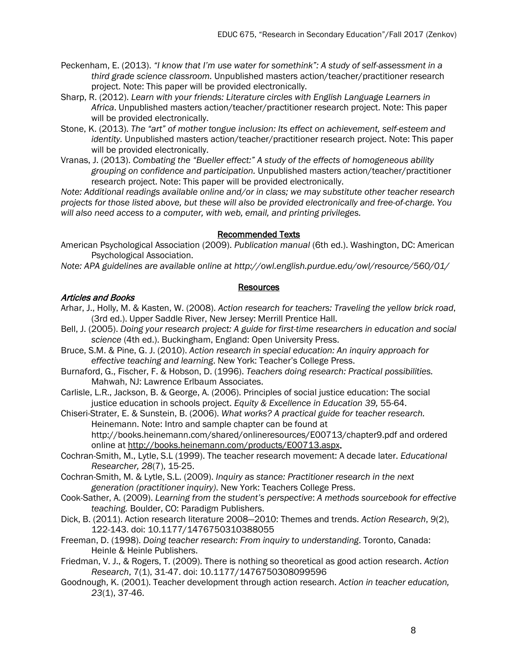- Peckenham, E. (2013). *"I know that I'm use water for somethink": A study of self-assessment in a third grade science classroom.* Unpublished masters action/teacher/practitioner research project. Note: This paper will be provided electronically.
- Sharp, R. (2012). *Learn with your friends: Literature circles with English Language Learners in Africa*. Unpublished masters action/teacher/practitioner research project. Note: This paper will be provided electronically.
- Stone, K. (2013). *The "art" of mother tongue inclusion: Its effect on achievement, self-esteem and identity.* Unpublished masters action/teacher/practitioner research project. Note: This paper will be provided electronically.
- Vranas, J. (2013). *Combating the "Bueller effect:" A study of the effects of homogeneous ability grouping on confidence and participation.* Unpublished masters action/teacher/practitioner research project. Note: This paper will be provided electronically.

*Note: Additional readings available online and/or in class; we may substitute other teacher research projects for those listed above, but these will also be provided electronically and free-of-charge. You will also need access to a computer, with web, email, and printing privileges.*

#### Recommended Texts

American Psychological Association (2009). *Publication manual* (6th ed.). Washington, DC: American Psychological Association.

*Note: APA guidelines are available online at http://owl.english.purdue.edu/owl/resource/560/01/*

#### Resources

#### Articles and Books

- Arhar, J., Holly, M. & Kasten, W. (2008). *Action research for teachers: Traveling the yellow brick road*, (3rd ed.). Upper Saddle River, New Jersey: Merrill Prentice Hall.
- Bell, J. (2005). *Doing your research project: A guide for first-time researchers in education and social science* (4th ed.). Buckingham, England: Open University Press.
- Bruce, S.M. & Pine, G. J. (2010). *Action research in special education: An inquiry approach for effective teaching and learning*. New York: Teacher's College Press.
- Burnaford, G., Fischer, F. & Hobson, D. (1996). *Teachers doing research: Practical possibilities.* Mahwah, NJ: Lawrence Erlbaum Associates.
- Carlisle, L.R., Jackson, B. & George, A. (2006). Principles of social justice education: The social justice education in schools project. *Equity & Excellence in Education 39,* 55-64.

Chiseri-Strater, E. & Sunstein, B. (2006). *What works? A practical guide for teacher research.*  Heinemann. Note: Intro and sample chapter can be found at http://books.heinemann.com/shared/onlineresources/E00713/chapter9.pdf and ordered online at [http://books.heinemann.com/products/E00713.aspx.](http://books.heinemann.com/products/E00713.aspx)

- Cochran-Smith, M., Lytle, S.L (1999). The teacher research movement: A decade later. *Educational Researcher, 28*(7), 15-25.
- Cochran-Smith, M. & Lytle, S.L. (2009). *Inquiry as stance: Practitioner research in the next generation (practitioner inquiry)*. New York: Teachers College Press.

Cook-Sather, A. (2009). *Learning from the student's perspective*: *A methods sourcebook for effective teaching.* Boulder, CO: Paradigm Publishers.

Dick, B. (2011). Action research literature 2008—2010: Themes and trends. *Action Research*, *9*(2), 122-143. doi: 10.1177/1476750310388055

- Freeman, D. (1998). *Doing teacher research: From inquiry to understanding*. Toronto, Canada: Heinle & Heinle Publishers.
- Friedman, V. J., & Rogers, T. (2009). There is nothing so theoretical as good action research. *Action Research*, 7(1), 31-47. doi: 10.1177/1476750308099596
- Goodnough, K. (2001). Teacher development through action research. *Action in teacher education, 23*(1), 37-46.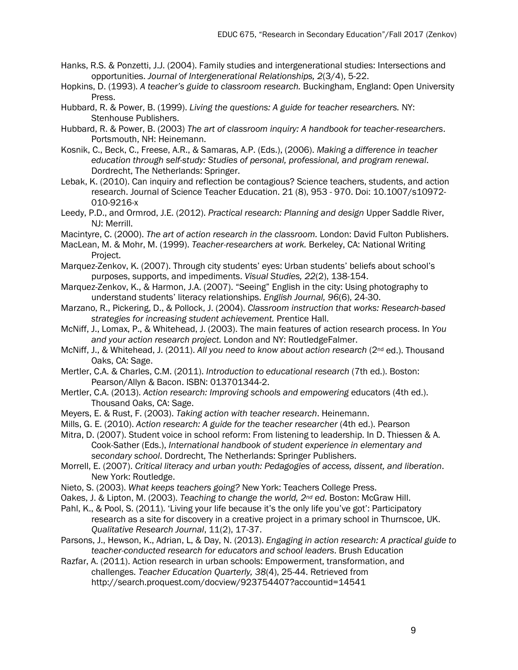- Hanks, R.S. & Ponzetti, J.J. (2004). Family studies and intergenerational studies: Intersections and opportunities. *Journal of Intergenerational Relationships, 2*(3/4), 5-22.
- Hopkins, D. (1993). *A teacher's guide to classroom research.* Buckingham, England: Open University Press.
- Hubbard, R. & Power, B. (1999). *Living the questions: A guide for teacher researchers.* NY: Stenhouse Publishers.
- Hubbard, R. & Power, B. (2003) *The art of classroom inquiry: A handbook for teacher-researchers*. Portsmouth, NH: Heinemann.
- Kosnik, C., Beck, C., Freese, A.R., & Samaras, A.P. (Eds.), (2006). *Making a difference in teacher education through self-study: Studies of personal, professional, and program renewal*. Dordrecht, The Netherlands: Springer.
- Lebak, K. (2010). Can inquiry and reflection be contagious? Science teachers, students, and action research. Journal of Science Teacher Education. 21 (8), 953 - 970. Doi: 10.1007/s10972- 010-9216-x
- Leedy, P.D., and Ormrod, J.E. (2012). *Practical research: Planning and design* Upper Saddle River, NJ: Merrill.
- Macintyre, C. (2000). *The art of action research in the classroom.* London: David Fulton Publishers.
- MacLean, M. & Mohr, M. (1999). *Teacher-researchers at work.* Berkeley, CA: National Writing Project.
- Marquez-Zenkov, K. (2007). Through city students' eyes: Urban students' beliefs about school's purposes, supports, and impediments. *Visual Studies, 22*(2), 138-154.
- Marquez-Zenkov, K., & Harmon, J.A. (2007). "Seeing" English in the city: Using photography to understand students' literacy relationships. *English Journal, 96*(6), 24-30.
- Marzano, R., Pickering, D., & Pollock, J. (2004). *Classroom instruction that works: Research-based strategies for increasing student achievement.* Prentice Hall.
- McNiff, J., Lomax, P., & Whitehead, J. (2003). The main features of action research process. In *You and your action research project.* London and NY: RoutledgeFalmer.
- McNiff, J., & Whitehead, J. (2011). *All you need to know about action research* (2nd ed.). Thousand Oaks, CA: Sage.
- Mertler, C.A. & Charles, C.M. (2011). *Introduction to educational research* (7th ed.). Boston: Pearson/Allyn & Bacon. ISBN: 013701344-2.
- Mertler, C.A. (2013). *Action research: Improving schools and empowering* educators (4th ed.). Thousand Oaks, CA: Sage.
- Meyers, E. & Rust, F. (2003). *Taking action with teacher research*. Heinemann.
- Mills, G. E. (2010). *Action research: A guide for the teacher researcher* (4th ed.). Pearson
- Mitra, D. (2007). Student voice in school reform: From listening to leadership. In D. Thiessen & A. Cook-Sather (Eds.), *International handbook of student experience in elementary and secondary school*. Dordrecht, The Netherlands: Springer Publishers.
- Morrell, E. (2007). *Critical literacy and urban youth: Pedagogies of access, dissent, and liberation*. New York: Routledge.
- Nieto, S. (2003). *What keeps teachers going?* New York: Teachers College Press.
- Oakes, J. & Lipton, M. (2003). *Teaching to change the world, 2nd ed.* Boston: McGraw Hill.
- Pahl, K., & Pool, S. (2011). 'Living your life because it's the only life you've got': Participatory research as a site for discovery in a creative project in a primary school in Thurnscoe, UK. *Qualitative Research Journal*, 11(2), 17-37.
- Parsons, J., Hewson, K., Adrian, L, & Day, N. (2013). *Engaging in action research: A practical guide to teacher-conducted research for educators and school leaders*. Brush Education
- Razfar, A. (2011). Action research in urban schools: Empowerment, transformation, and challenges. *Teacher Education Quarterly, 38*(4), 25-44. Retrieved from http://search.proquest.com/docview/923754407?accountid=14541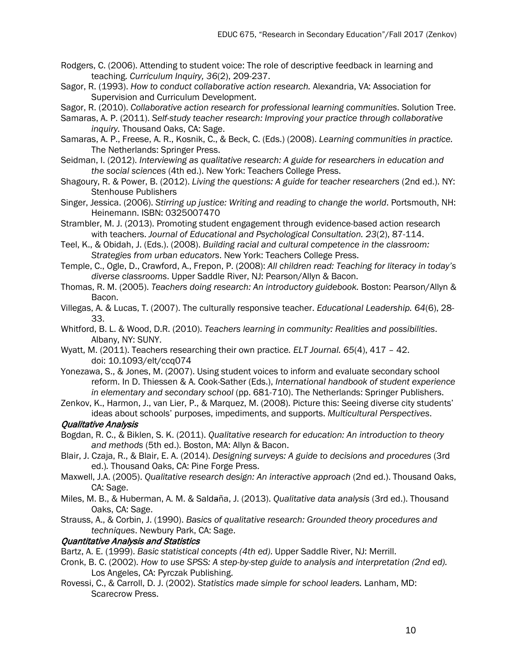- Rodgers, C. (2006). Attending to student voice: The role of descriptive feedback in learning and teaching. *Curriculum Inquiry, 36*(2), 209-237.
- Sagor, R. (1993). *How to conduct collaborative action research.* Alexandria, VA: Association for Supervision and Curriculum Development.

Sagor, R. (2010). *Collaborative action research for professional learning communities*. Solution Tree.

- Samaras, A. P. (2011). *Self-study teacher research: Improving your practice through collaborative inquiry.* Thousand Oaks, CA: Sage.
- Samaras, A. P., Freese, A. R., Kosnik, C., & Beck, C. (Eds.) (2008). *Learning communities in practice.*  The Netherlands: Springer Press.
- Seidman, I. (2012). *Interviewing as qualitative research: A guide for researchers in education and the social sciences* (4th ed.). New York: Teachers College Press.
- Shagoury, R. & Power, B. (2012). *Living the questions: A guide for teacher researchers* (2nd ed.). NY: Stenhouse Publishers
- Singer, Jessica. (2006). *Stirring up justice: Writing and reading to change the world*. Portsmouth, NH: Heinemann. ISBN: 0325007470
- Strambler, M. J. (2013). Promoting student engagement through evidence-based action research with teachers. *Journal of Educational and Psychological Consultation. 23*(2), 87-114.
- Teel, K., & Obidah, J. (Eds.). (2008). *Building racial and cultural competence in the classroom: Strategies from urban educators*. New York: Teachers College Press.
- Temple, C., Ogle, D., Crawford, A., Frepon, P. (2008): *All children read: Teaching for literacy in today's diverse classrooms*. Upper Saddle River, NJ: Pearson/Allyn & Bacon.
- Thomas, R. M. (2005). *Teachers doing research: An introductory guidebook.* Boston: Pearson/Allyn & Bacon.
- Villegas, A. & Lucas, T. (2007). The culturally responsive teacher. *Educational Leadership. 64*(6), 28- 33.
- Whitford, B. L. & Wood, D.R. (2010). *Teachers learning in community: Realities and possibilities*. Albany, NY: SUNY.
- Wyatt, M. (2011). Teachers researching their own practice*. ELT Journal. 65*(4), 417 42. doi: 10.1093/elt/ccq074
- Yonezawa, S., & Jones, M. (2007). Using student voices to inform and evaluate secondary school reform. In D. Thiessen & A. Cook-Sather (Eds.), *International handbook of student experience in elementary and secondary school* (pp. 681-710). The Netherlands: Springer Publishers.
- Zenkov, K., Harmon, J., van Lier, P., & Marquez, M. (2008). Picture this: Seeing diverse city students' ideas about schools' purposes, impediments, and supports. *Multicultural Perspectives*.

### Qualitative Analysis

- Bogdan, R. C., & Biklen, S. K. (2011). *Qualitative research for education: An introduction to theory and methods* (5th ed.). Boston, MA: Allyn & Bacon.
- Blair, J. Czaja, R., & Blair, E. A. (2014). *Designing surveys: A guide to decisions and procedures* (3rd ed.)*.* Thousand Oaks, CA: Pine Forge Press.
- Maxwell, J.A. (2005). *Qualitative research design: An interactive approach* (2nd ed.). Thousand Oaks, CA: Sage.
- Miles, M. B., & Huberman, A. M. & Salda̴ña, J. (2013). *Qualitative data analysis* (3rd ed.). Thousand Oaks, CA: Sage.
- Strauss, A., & Corbin, J. (1990). *Basics of qualitative research: Grounded theory procedures and techniques*. Newbury Park, CA: Sage.

## Quantitative Analysis and Statistics

- Bartz, A. E. (1999). *Basic statistical concepts (4th ed)*. Upper Saddle River, NJ: Merrill.
- Cronk, B. C. (2002). *How to use SPSS: A step-by-step guide to analysis and interpretation (2nd ed).*  Los Angeles, CA: Pyrczak Publishing.
- Rovessi, C., & Carroll, D. J. (2002). *Statistics made simple for school leaders.* Lanham, MD: Scarecrow Press.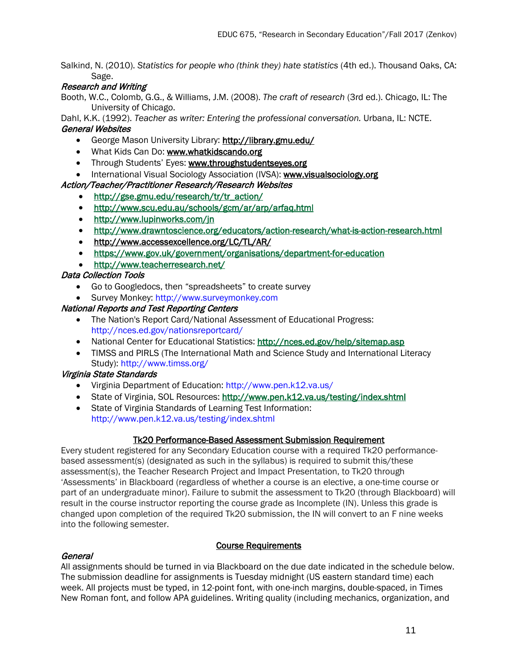Salkind, N. (2010). *Statistics for people who (think they) hate statistics (4th ed.)*. Thousand Oaks, CA: Sage.

## Research and Writing

Booth, W.C., Colomb, G.G., & Williams, J.M. (2008). *The craft of research* (3rd ed.). Chicago, IL: The University of Chicago.

Dahl, K.K. (1992). *Teacher as writer: Entering the professional conversation.* Urbana, IL: NCTE. General Websites

- George Mason University Library:<http://library.gmu.edu/>
- What Kids Can Do: [www.whatkidscando.org](http://www.whatkidscando.org/)
- Through Students' Eyes: [www.throughstudentseyes.org](http://www.throughstudentseyes.org/)
- International Visual Sociology Association (IVSA): [www.visualsociology.org](http://www.visualsociology.org/)

## Action/Teacher/Practitioner Research/Research Websites

- [http://gse.gmu.edu/research/tr/tr\\_action/](http://gse.gmu.edu/research/tr/tr_action/)
- <http://www.scu.edu.au/schools/gcm/ar/arp/arfaq.html>
- <http://www.lupinworks.com/jn>
- <http://www.drawntoscience.org/educators/action-research/what-is-action-research.html>
- <http://www.accessexcellence.org/LC/TL/AR/>
- <https://www.gov.uk/government/organisations/department-for-education>
- <http://www.teacherresearch.net/>

## Data Collection Tools

- Go to Googledocs, then "spreadsheets" to create survey
- Survey Monkey: http://www.surveymonkey.com

## National Reports and Test Reporting Centers

- The Nation's Report Card/National Assessment of Educational Progress: http://nces.ed.gov/nationsreportcard/
- National Center for Educational Statistics: http://nces.ed.gov/help/sitemap.asp
- TIMSS and PIRLS (The International Math and Science Study and International Literacy Study): http://www.timss.org/

### Virginia State Standards

- Virginia Department of Education: http://www.pen.k12.va.us/
- State of Virginia, SOL Resources:<http://www.pen.k12.va.us/testing/index.shtml>
- State of Virginia Standards of Learning Test Information: http://www.pen.k12.va.us/testing/index.shtml

### Tk20 Performance-Based Assessment Submission Requirement

Every student registered for any Secondary Education course with a required Tk20 performancebased assessment(s) (designated as such in the syllabus) is required to submit this/these assessment(s), the Teacher Research Project and Impact Presentation, to Tk20 through 'Assessments' in Blackboard (regardless of whether a course is an elective, a one-time course or part of an undergraduate minor). Failure to submit the assessment to Tk20 (through Blackboard) will result in the course instructor reporting the course grade as Incomplete (IN). Unless this grade is changed upon completion of the required Tk20 submission, the IN will convert to an F nine weeks into the following semester.

### Course Requirements

### General

All assignments should be turned in via Blackboard on the due date indicated in the schedule below. The submission deadline for assignments is Tuesday midnight (US eastern standard time) each week. All projects must be typed, in 12-point font, with one-inch margins, double-spaced, in Times New Roman font, and follow APA guidelines. Writing quality (including mechanics, organization, and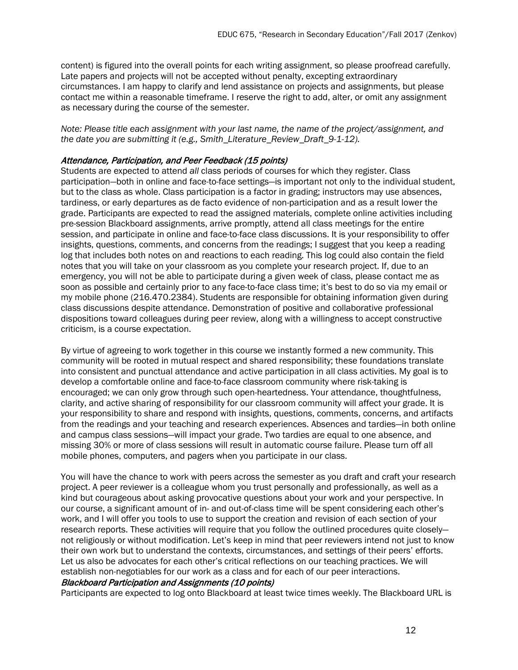content) is figured into the overall points for each writing assignment, so please proofread carefully. Late papers and projects will not be accepted without penalty, excepting extraordinary circumstances. I am happy to clarify and lend assistance on projects and assignments, but please contact me within a reasonable timeframe. I reserve the right to add, alter, or omit any assignment as necessary during the course of the semester.

*Note: Please title each assignment with your last name, the name of the project/assignment, and the date you are submitting it (e.g., Smith\_Literature\_Review\_Draft\_9-1-12).*

#### Attendance, Participation, and Peer Feedback (15 points)

Students are expected to attend *all* class periods of courses for which they register. Class participation—both in online and face-to-face settings—is important not only to the individual student, but to the class as whole. Class participation is a factor in grading; instructors may use absences, tardiness, or early departures as de facto evidence of non-participation and as a result lower the grade. Participants are expected to read the assigned materials, complete online activities including pre-session Blackboard assignments, arrive promptly, attend all class meetings for the entire session, and participate in online and face-to-face class discussions. It is your responsibility to offer insights, questions, comments, and concerns from the readings; I suggest that you keep a reading log that includes both notes on and reactions to each reading. This log could also contain the field notes that you will take on your classroom as you complete your research project. If, due to an emergency, you will not be able to participate during a given week of class, please contact me as soon as possible and certainly prior to any face-to-face class time; it's best to do so via my email or my mobile phone (216.470.2384). Students are responsible for obtaining information given during class discussions despite attendance. Demonstration of positive and collaborative professional dispositions toward colleagues during peer review, along with a willingness to accept constructive criticism, is a course expectation.

By virtue of agreeing to work together in this course we instantly formed a new community. This community will be rooted in mutual respect and shared responsibility; these foundations translate into consistent and punctual attendance and active participation in all class activities. My goal is to develop a comfortable online and face-to-face classroom community where risk-taking is encouraged; we can only grow through such open-heartedness. Your attendance, thoughtfulness, clarity, and active sharing of responsibility for our classroom community will affect your grade. It is your responsibility to share and respond with insights, questions, comments, concerns, and artifacts from the readings and your teaching and research experiences. Absences and tardies—in both online and campus class sessions—will impact your grade. Two tardies are equal to one absence, and missing 30% or more of class sessions will result in automatic course failure. Please turn off all mobile phones, computers, and pagers when you participate in our class.

You will have the chance to work with peers across the semester as you draft and craft your research project. A peer reviewer is a colleague whom you trust personally and professionally, as well as a kind but courageous about asking provocative questions about your work and your perspective. In our course, a significant amount of in- and out-of-class time will be spent considering each other's work, and I will offer you tools to use to support the creation and revision of each section of your research reports. These activities will require that you follow the outlined procedures quite closely not religiously or without modification. Let's keep in mind that peer reviewers intend not just to know their own work but to understand the contexts, circumstances, and settings of their peers' efforts. Let us also be advocates for each other's critical reflections on our teaching practices. We will establish non-negotiables for our work as a class and for each of our peer interactions. Blackboard Participation and Assignments (10 points)

Participants are expected to log onto Blackboard at least twice times weekly. The Blackboard URL is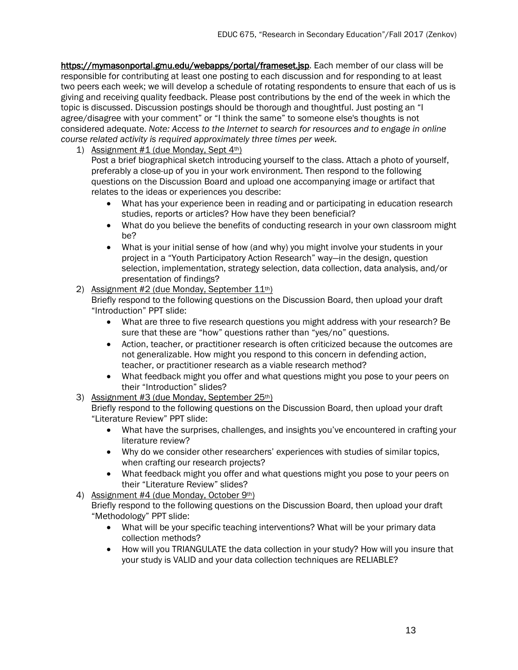[https://mymasonportal.gmu.edu/webapps/portal/frameset.jsp.](https://mymasonportal.gmu.edu/webapps/portal/frameset.jsp) Each member of our class will be responsible for contributing at least one posting to each discussion and for responding to at least two peers each week; we will develop a schedule of rotating respondents to ensure that each of us is giving and receiving quality feedback. Please post contributions by the end of the week in which the topic is discussed. Discussion postings should be thorough and thoughtful. Just posting an "I agree/disagree with your comment" or "I think the same" to someone else's thoughts is not considered adequate. *Note: Access to the Internet to search for resources and to engage in online course related activity is required approximately three times per week.* 

1) Assignment  $#1$  (due Monday, Sept  $4<sup>th</sup>$ )

Post a brief biographical sketch introducing yourself to the class. Attach a photo of yourself, preferably a close-up of you in your work environment. Then respond to the following questions on the Discussion Board and upload one accompanying image or artifact that relates to the ideas or experiences you describe:

- What has your experience been in reading and or participating in education research studies, reports or articles? How have they been beneficial?
- What do you believe the benefits of conducting research in your own classroom might be?
- What is your initial sense of how (and why) you might involve your students in your project in a "Youth Participatory Action Research" way—in the design, question selection, implementation, strategy selection, data collection, data analysis, and/or presentation of findings?

### 2) Assignment #2 (due Monday, September  $11<sup>th</sup>$ )

Briefly respond to the following questions on the Discussion Board, then upload your draft "Introduction" PPT slide:

- What are three to five research questions you might address with your research? Be sure that these are "how" questions rather than "yes/no" questions.
- Action, teacher, or practitioner research is often criticized because the outcomes are not generalizable. How might you respond to this concern in defending action, teacher, or practitioner research as a viable research method?
- What feedback might you offer and what questions might you pose to your peers on their "Introduction" slides?
- 3) Assignment #3 (due Monday, September 25th)

Briefly respond to the following questions on the Discussion Board, then upload your draft "Literature Review" PPT slide:

- What have the surprises, challenges, and insights you've encountered in crafting your literature review?
- Why do we consider other researchers' experiences with studies of similar topics, when crafting our research projects?
- What feedback might you offer and what questions might you pose to your peers on their "Literature Review" slides?
- 4) Assignment #4 (due Monday, October 9th)
	- Briefly respond to the following questions on the Discussion Board, then upload your draft "Methodology" PPT slide:
		- What will be your specific teaching interventions? What will be your primary data collection methods?
		- How will you TRIANGULATE the data collection in your study? How will you insure that your study is VALID and your data collection techniques are RELIABLE?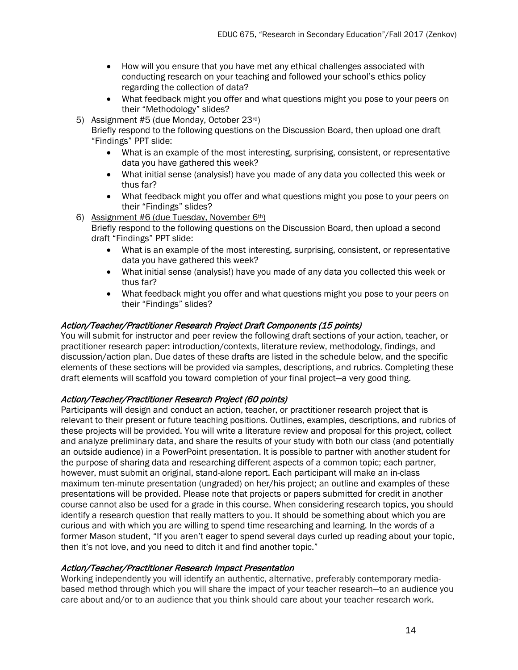- How will you ensure that you have met any ethical challenges associated with conducting research on your teaching and followed your school's ethics policy regarding the collection of data?
- What feedback might you offer and what questions might you pose to your peers on their "Methodology" slides?
- 5) Assignment #5 (due Monday, October 23rd)

Briefly respond to the following questions on the Discussion Board, then upload one draft "Findings" PPT slide:

- What is an example of the most interesting, surprising, consistent, or representative data you have gathered this week?
- What initial sense (analysis!) have you made of any data you collected this week or thus far?
- What feedback might you offer and what questions might you pose to your peers on their "Findings" slides?
- 6) Assignment #6 (due Tuesday, November  $6<sup>th</sup>$ )

Briefly respond to the following questions on the Discussion Board, then upload a second draft "Findings" PPT slide:

- What is an example of the most interesting, surprising, consistent, or representative data you have gathered this week?
- What initial sense (analysis!) have you made of any data you collected this week or thus far?
- What feedback might you offer and what questions might you pose to your peers on their "Findings" slides?

### Action/Teacher/Practitioner Research Project Draft Components (15 points)

You will submit for instructor and peer review the following draft sections of your action, teacher, or practitioner research paper: introduction/contexts, literature review, methodology, findings, and discussion/action plan. Due dates of these drafts are listed in the schedule below, and the specific elements of these sections will be provided via samples, descriptions, and rubrics. Completing these draft elements will scaffold you toward completion of your final project—a very good thing.

## Action/Teacher/Practitioner Research Project (60 points)

Participants will design and conduct an action, teacher, or practitioner research project that is relevant to their present or future teaching positions. Outlines, examples, descriptions, and rubrics of these projects will be provided. You will write a literature review and proposal for this project, collect and analyze preliminary data, and share the results of your study with both our class (and potentially an outside audience) in a PowerPoint presentation. It is possible to partner with another student for the purpose of sharing data and researching different aspects of a common topic; each partner, however, must submit an original, stand-alone report. Each participant will make an in-class maximum ten-minute presentation (ungraded) on her/his project; an outline and examples of these presentations will be provided. Please note that projects or papers submitted for credit in another course cannot also be used for a grade in this course. When considering research topics, you should identify a research question that really matters to you. It should be something about which you are curious and with which you are willing to spend time researching and learning. In the words of a former Mason student, "If you aren't eager to spend several days curled up reading about your topic, then it's not love, and you need to ditch it and find another topic."

### Action/Teacher/Practitioner Research Impact Presentation

Working independently you will identify an authentic, alternative, preferably contemporary mediabased method through which you will share the impact of your teacher research—to an audience you care about and/or to an audience that you think should care about your teacher research work.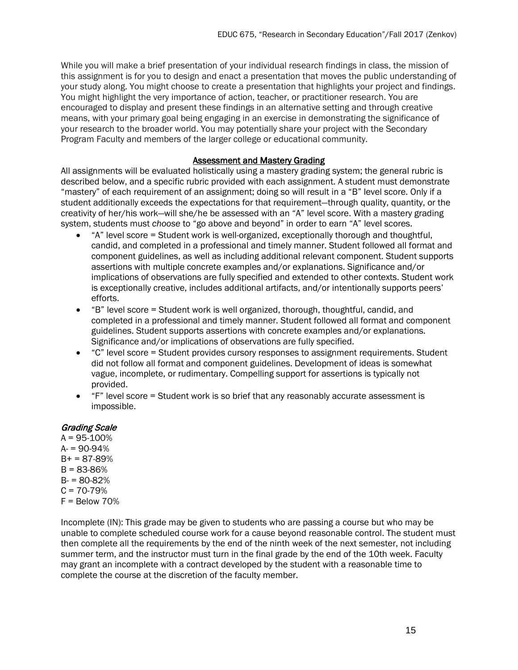While you will make a brief presentation of your individual research findings in class, the mission of this assignment is for you to design and enact a presentation that moves the public understanding of your study along. You might choose to create a presentation that highlights your project and findings. You might highlight the very importance of action, teacher, or practitioner research. You are encouraged to display and present these findings in an alternative setting and through creative means, with your primary goal being engaging in an exercise in demonstrating the significance of your research to the broader world. You may potentially share your project with the Secondary Program Faculty and members of the larger college or educational community.

#### Assessment and Mastery Grading

All assignments will be evaluated holistically using a mastery grading system; the general rubric is described below, and a specific rubric provided with each assignment. A student must demonstrate "mastery" of each requirement of an assignment; doing so will result in a "B" level score. Only if a student additionally exceeds the expectations for that requirement—through quality, quantity, or the creativity of her/his work—will she/he be assessed with an "A" level score. With a mastery grading system, students must *choose* to "go above and beyond" in order to earn "A" level scores.

- "A" level score = Student work is well-organized, exceptionally thorough and thoughtful, candid, and completed in a professional and timely manner. Student followed all format and component guidelines, as well as including additional relevant component. Student supports assertions with multiple concrete examples and/or explanations. Significance and/or implications of observations are fully specified and extended to other contexts. Student work is exceptionally creative, includes additional artifacts, and/or intentionally supports peers' efforts.
- "B" level score = Student work is well organized, thorough, thoughtful, candid, and completed in a professional and timely manner. Student followed all format and component guidelines. Student supports assertions with concrete examples and/or explanations. Significance and/or implications of observations are fully specified.
- "C" level score = Student provides cursory responses to assignment requirements. Student did not follow all format and component guidelines. Development of ideas is somewhat vague, incomplete, or rudimentary. Compelling support for assertions is typically not provided.
- "F" level score = Student work is so brief that any reasonably accurate assessment is impossible.

#### Grading Scale

 $A = 95 - 100%$  $A = 90 - 94%$  $B+ = 87-89%$  $B = 83 - 86%$  $B = 80-82%$  $C = 70-79%$  $F =$  Below 70%

Incomplete (IN): This grade may be given to students who are passing a course but who may be unable to complete scheduled course work for a cause beyond reasonable control. The student must then complete all the requirements by the end of the ninth week of the next semester, not including summer term, and the instructor must turn in the final grade by the end of the 10th week. Faculty may grant an incomplete with a contract developed by the student with a reasonable time to complete the course at the discretion of the faculty member.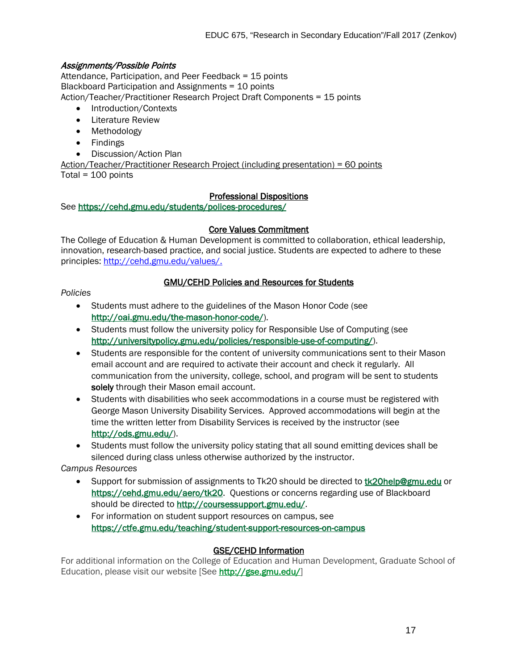## Assignments/Possible Points

Attendance, Participation, and Peer Feedback = 15 points Blackboard Participation and Assignments = 10 points Action/Teacher/Practitioner Research Project Draft Components = 15 points

- Introduction/Contexts
- Literature Review
- Methodology
- Findings
- Discussion/Action Plan

Action/Teacher/Practitioner Research Project (including presentation) = 60 points Total =  $100$  points

#### Professional Dispositions

See<https://cehd.gmu.edu/students/polices-procedures/>

#### Core Values Commitment

The College of Education & Human Development is committed to collaboration, ethical leadership, innovation, research-based practice, and social justice. Students are expected to adhere to these principles: [http://cehd.gmu.edu/values/.](http://cehd.gmu.edu/values/)

### GMU/CEHD Policies and Resources for Students

#### *Policies*

- Students must adhere to the guidelines of the Mason Honor Code (see [http://oai.gmu.edu/the-mason-honor-code/\)](http://oai.gmu.edu/the-mason-honor-code/).
- Students must follow the university policy for Responsible Use of Computing (see [http://universitypolicy.gmu.edu/policies/responsible-use-of-computing/\)](http://universitypolicy.gmu.edu/policies/responsible-use-of-computing/).
- Students are responsible for the content of university communications sent to their Mason email account and are required to activate their account and check it regularly. All communication from the university, college, school, and program will be sent to students solely through their Mason email account.
- Students with disabilities who seek accommodations in a course must be registered with George Mason University Disability Services. Approved accommodations will begin at the time the written letter from Disability Services is received by the instructor (see [http://ods.gmu.edu/\)](http://ods.gmu.edu/).
- Students must follow the university policy stating that all sound emitting devices shall be silenced during class unless otherwise authorized by the instructor.

*Campus Resources*

- Support for submission of assignments to Tk20 should be directed to [tk20help@gmu.edu](mailto:tk20help@gmu.edu) or [https://cehd.gmu.edu/aero/tk20.](https://cehd.gmu.edu/aero/tk20) Questions or concerns regarding use of Blackboard should be directed to [http://coursessupport.gmu.edu/.](http://coursessupport.gmu.edu/)
- For information on student support resources on campus, see <https://ctfe.gmu.edu/teaching/student-support-resources-on-campus>

### GSE/CEHD Information

For additional information on the College of Education and Human Development, Graduate School of Education, please visit our website [See [http://gse.gmu.edu/\]](http://gse.gmu.edu/)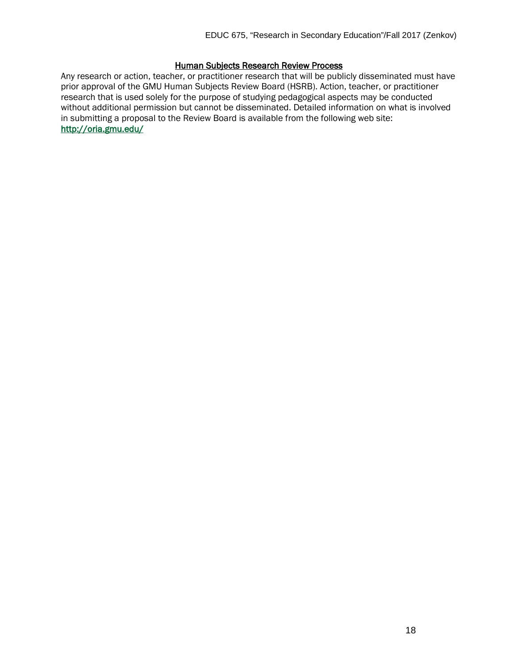#### **Human Subjects Research Review Process**

Any research or action, teacher, or practitioner research that will be publicly disseminated must have prior approval of the GMU Human Subjects Review Board (HSRB). Action, teacher, or practitioner research that is used solely for the purpose of studying pedagogical aspects may be conducted without additional permission but cannot be disseminated. Detailed information on what is involved in submitting a proposal to the Review Board is available from the following web site: <http://oria.gmu.edu/>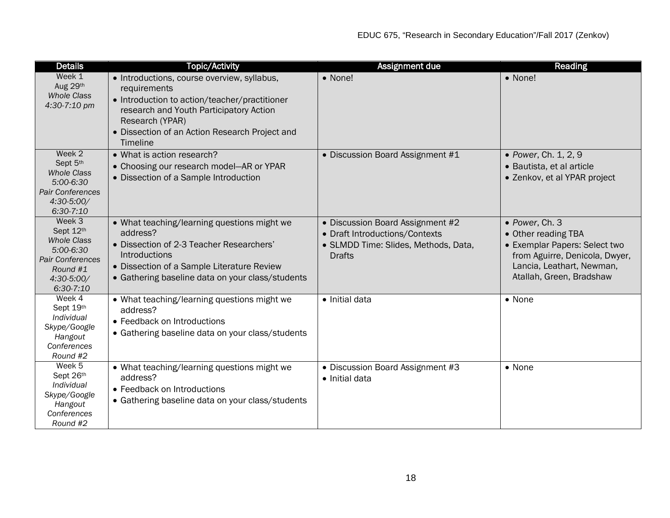| <b>Details</b>                                                                                                             | <b>Topic/Activity</b>                                                                                                                                                                                                                    | Assignment due                                                                                                              | Reading                                                                                                                                                           |
|----------------------------------------------------------------------------------------------------------------------------|------------------------------------------------------------------------------------------------------------------------------------------------------------------------------------------------------------------------------------------|-----------------------------------------------------------------------------------------------------------------------------|-------------------------------------------------------------------------------------------------------------------------------------------------------------------|
| Week 1<br>Aug 29th<br><b>Whole Class</b><br>4:30-7:10 pm                                                                   | • Introductions, course overview, syllabus,<br>requirements<br>• Introduction to action/teacher/practitioner<br>research and Youth Participatory Action<br>Research (YPAR)<br>• Dissection of an Action Research Project and<br>Timeline | • None!                                                                                                                     | • None!                                                                                                                                                           |
| Week 2<br>Sept 5th<br><b>Whole Class</b><br>5:00-6:30<br>Pair Conferences<br>4:30-5:00/<br>$6:30-7:10$                     | • What is action research?<br>• Choosing our research model-AR or YPAR<br>• Dissection of a Sample Introduction                                                                                                                          | • Discussion Board Assignment #1                                                                                            | • Power, Ch. 1, 2, 9<br>· Bautista, et al article<br>• Zenkov, et al YPAR project                                                                                 |
| Week 3<br>Sept 12th<br><b>Whole Class</b><br>5:00-6:30<br><b>Pair Conferences</b><br>Round #1<br>4:30-5:00/<br>$6:30-7:10$ | • What teaching/learning questions might we<br>address?<br>• Dissection of 2-3 Teacher Researchers'<br>Introductions<br>• Dissection of a Sample Literature Review<br>• Gathering baseline data on your class/students                   | • Discussion Board Assignment #2<br>• Draft Introductions/Contexts<br>· SLMDD Time: Slides, Methods, Data,<br><b>Drafts</b> | • Power, Ch. 3<br>• Other reading TBA<br>• Exemplar Papers: Select two<br>from Aguirre, Denicola, Dwyer,<br>Lancia, Leathart, Newman,<br>Atallah, Green, Bradshaw |
| Week 4<br>Sept 19th<br>Individual<br>Skype/Google<br>Hangout<br>Conferences<br>Round #2                                    | • What teaching/learning questions might we<br>address?<br>• Feedback on Introductions<br>• Gathering baseline data on your class/students                                                                                               | • Initial data                                                                                                              | • None                                                                                                                                                            |
| Week 5<br>Sept 26th<br>Individual<br>Skype/Google<br>Hangout<br>Conferences<br>Round #2                                    | • What teaching/learning questions might we<br>address?<br>• Feedback on Introductions<br>• Gathering baseline data on your class/students                                                                                               | • Discussion Board Assignment #3<br>• Initial data                                                                          | • None                                                                                                                                                            |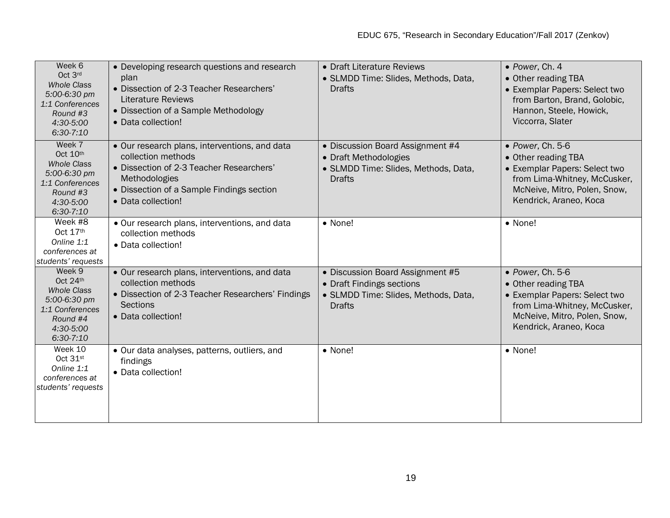| Week 6<br>Oct 3rd<br><b>Whole Class</b><br>5:00-6:30 pm<br>1:1 Conferences<br>Round #3<br>4:30-5:00<br>$6:30-7:10$  | • Developing research questions and research<br>plan<br>• Dissection of 2-3 Teacher Researchers'<br><b>Literature Reviews</b><br>• Dissection of a Sample Methodology<br>• Data collection!         | • Draft Literature Reviews<br>• SLMDD Time: Slides, Methods, Data,<br><b>Drafts</b>                                    | • Power, Ch. 4<br>• Other reading TBA<br>• Exemplar Papers: Select two<br>from Barton, Brand, Golobic,<br>Hannon, Steele, Howick,<br>Viccorra, Slater              |
|---------------------------------------------------------------------------------------------------------------------|-----------------------------------------------------------------------------------------------------------------------------------------------------------------------------------------------------|------------------------------------------------------------------------------------------------------------------------|--------------------------------------------------------------------------------------------------------------------------------------------------------------------|
| Week 7<br>Oct 10th<br><b>Whole Class</b><br>5:00-6:30 pm<br>1:1 Conferences<br>Round #3<br>4:30-5:00<br>$6:30-7:10$ | • Our research plans, interventions, and data<br>collection methods<br>· Dissection of 2-3 Teacher Researchers'<br>Methodologies<br>• Dissection of a Sample Findings section<br>• Data collection! | • Discussion Board Assignment #4<br>• Draft Methodologies<br>· SLMDD Time: Slides, Methods, Data,<br><b>Drafts</b>     | • Power, Ch. 5-6<br>• Other reading TBA<br>• Exemplar Papers: Select two<br>from Lima-Whitney, McCusker,<br>McNeive, Mitro, Polen, Snow,<br>Kendrick, Araneo, Koca |
| Week #8<br>Oct 17th<br>Online 1:1<br>conferences at<br>students' requests                                           | • Our research plans, interventions, and data<br>collection methods<br>• Data collection!                                                                                                           | • None!                                                                                                                | • None!                                                                                                                                                            |
| Week 9<br>Oct 24th<br><b>Whole Class</b><br>5:00-6:30 pm<br>1:1 Conferences<br>Round #4<br>4:30-5:00<br>$6:30-7:10$ | • Our research plans, interventions, and data<br>collection methods<br>• Dissection of 2-3 Teacher Researchers' Findings<br><b>Sections</b><br>• Data collection!                                   | • Discussion Board Assignment #5<br>• Draft Findings sections<br>• SLMDD Time: Slides, Methods, Data,<br><b>Drafts</b> | · Power, Ch. 5-6<br>• Other reading TBA<br>• Exemplar Papers: Select two<br>from Lima-Whitney, McCusker,<br>McNeive, Mitro, Polen, Snow,<br>Kendrick, Araneo, Koca |
| Week 10<br>Oct $31$ <sup>st</sup><br>Online 1:1<br>conferences at<br>students' requests                             | • Our data analyses, patterns, outliers, and<br>findings<br>• Data collection!                                                                                                                      | • None!                                                                                                                | • None!                                                                                                                                                            |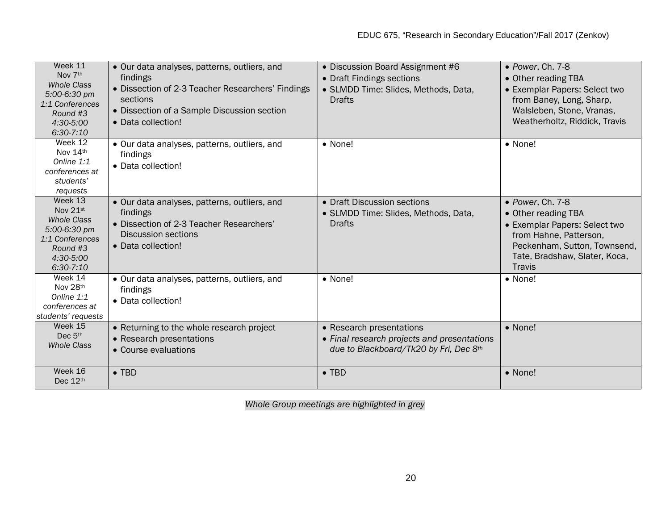| Week 11<br>Nov 7th<br><b>Whole Class</b><br>5:00-6:30 pm<br>1:1 Conferences<br>Round #3<br>4:30-5:00<br>$6:30-7:10$    | • Our data analyses, patterns, outliers, and<br>findings<br>• Dissection of 2-3 Teacher Researchers' Findings<br>sections<br>• Dissection of a Sample Discussion section<br>• Data collection! | • Discussion Board Assignment #6<br>• Draft Findings sections<br>• SLMDD Time: Slides, Methods, Data,<br><b>Drafts</b> | • Power, Ch. 7-8<br>• Other reading TBA<br>• Exemplar Papers: Select two<br>from Baney, Long, Sharp,<br>Walsleben, Stone, Vranas,<br>Weatherholtz, Riddick, Travis            |
|------------------------------------------------------------------------------------------------------------------------|------------------------------------------------------------------------------------------------------------------------------------------------------------------------------------------------|------------------------------------------------------------------------------------------------------------------------|-------------------------------------------------------------------------------------------------------------------------------------------------------------------------------|
| Week 12<br>Nov 14th<br>Online 1:1<br>conferences at<br>students'<br>requests                                           | • Our data analyses, patterns, outliers, and<br>findings<br>• Data collection!                                                                                                                 | • None!                                                                                                                | • None!                                                                                                                                                                       |
| Week 13<br>Nov 21st<br><b>Whole Class</b><br>$5:00-6:30$ pm<br>1:1 Conferences<br>Round #3<br>4:30-5:00<br>$6:30-7:10$ | • Our data analyses, patterns, outliers, and<br>findings<br>• Dissection of 2-3 Teacher Researchers'<br><b>Discussion sections</b><br>• Data collection!                                       | • Draft Discussion sections<br>· SLMDD Time: Slides, Methods, Data,<br><b>Drafts</b>                                   | • Power, Ch. 7-8<br>• Other reading TBA<br>• Exemplar Papers: Select two<br>from Hahne, Patterson,<br>Peckenham, Sutton, Townsend,<br>Tate, Bradshaw, Slater, Koca,<br>Travis |
| Week 14<br>Nov 28th<br>Online 1:1<br>conferences at<br>students' requests                                              | • Our data analyses, patterns, outliers, and<br>findings<br>• Data collection!                                                                                                                 | $\bullet$ None!                                                                                                        | • None!                                                                                                                                                                       |
| Week 15<br>Dec 5th<br><b>Whole Class</b>                                                                               | • Returning to the whole research project<br>• Research presentations<br>• Course evaluations                                                                                                  | • Research presentations<br>• Final research projects and presentations<br>due to Blackboard/Tk20 by Fri, Dec 8th      | • None!                                                                                                                                                                       |
| Week 16<br>Dec 12th                                                                                                    | $\bullet$ TBD                                                                                                                                                                                  | $\bullet$ TBD                                                                                                          | • None!                                                                                                                                                                       |

*Whole Group meetings are highlighted in grey*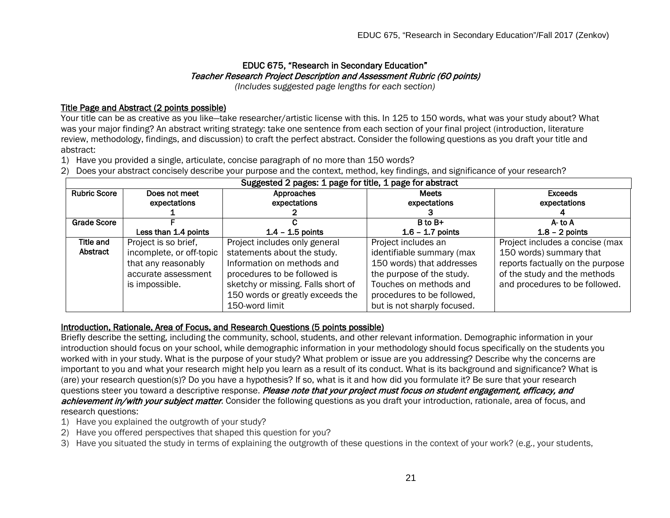# EDUC 675, "Research in Secondary Education" Teacher Research Project Description and Assessment Rubric (60 points)

*(Includes suggested page lengths for each section)*

## Title Page and Abstract (2 points possible)

Your title can be as creative as you like—take researcher/artistic license with this. In 125 to 150 words, what was your study about? What was your major finding? An abstract writing strategy: take one sentence from each section of your final project (introduction, literature review, methodology, findings, and discussion) to craft the perfect abstract. Consider the following questions as you draft your title and abstract:

1) Have you provided a single, articulate, concise paragraph of no more than 150 words?

2) Does your abstract concisely describe your purpose and the context, method, key findings, and significance of your research?

| Suggested 2 pages: 1 page for title, 1 page for abstract |                          |                                    |                             |                                  |
|----------------------------------------------------------|--------------------------|------------------------------------|-----------------------------|----------------------------------|
| <b>Rubric Score</b>                                      | Does not meet            | Approaches                         | <b>Meets</b>                | <b>Exceeds</b>                   |
|                                                          | expectations             | expectations                       | expectations                | expectations                     |
|                                                          |                          |                                    |                             |                                  |
| Grade Score                                              |                          |                                    | B to B+                     | A-to A                           |
|                                                          | Less than 1.4 points     | $1.4 - 1.5$ points                 | $1.6 - 1.7$ points          | $1.8 - 2$ points                 |
| Title and                                                | Project is so brief,     | Project includes only general      | Project includes an         | Project includes a concise (max  |
| Abstract                                                 | incomplete, or off-topic | statements about the study.        | identifiable summary (max   | 150 words) summary that          |
|                                                          | that any reasonably      | Information on methods and         | 150 words) that addresses   | reports factually on the purpose |
|                                                          | accurate assessment      | procedures to be followed is       | the purpose of the study.   | of the study and the methods     |
|                                                          | is impossible.           | sketchy or missing. Falls short of | Touches on methods and      | and procedures to be followed.   |
|                                                          |                          | 150 words or greatly exceeds the   | procedures to be followed,  |                                  |
|                                                          |                          | 150-word limit                     | but is not sharply focused. |                                  |

#### Introduction, Rationale, Area of Focus, and Research Questions (5 points possible)

Briefly describe the setting, including the community, school, students, and other relevant information. Demographic information in your introduction should focus on your school, while demographic information in your methodology should focus specifically on the students you worked with in your study. What is the purpose of your study? What problem or issue are you addressing? Describe why the concerns are important to you and what your research might help you learn as a result of its conduct. What is its background and significance? What is (are) your research question(s)? Do you have a hypothesis? If so, what is it and how did you formulate it? Be sure that your research questions steer you toward a descriptive response. Please note that your project must focus on student engagement, efficacy, and achievement in/with your subject matter. Consider the following questions as you draft your introduction, rationale, area of focus, and research questions:

- 1) Have you explained the outgrowth of your study?
- 2) Have you offered perspectives that shaped this question for you?

3) Have you situated the study in terms of explaining the outgrowth of these questions in the context of your work? (e.g., your students,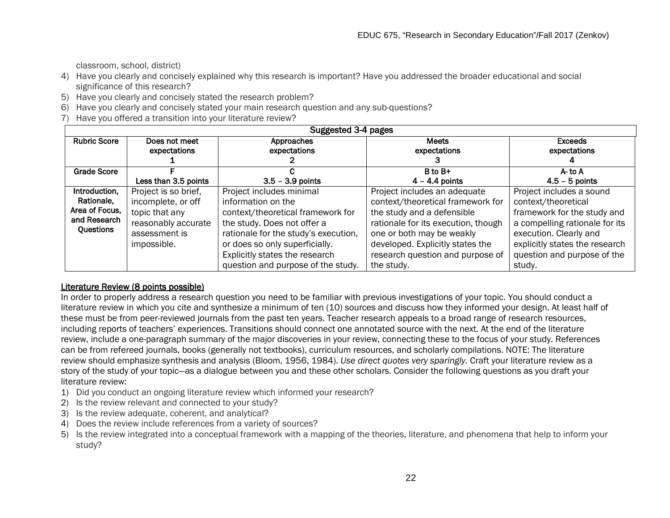classroom, school, district)

- 4) Have you clearly and concisely explained why this research is important? Have you addressed the broader educational and social significance of this research?
- 5) Have you clearly and concisely stated the research problem?
- 6) Have you clearly and concisely stated your main research question and any sub-questions?
- 7) Have you offered a transition into your literature review?

| Suggested 3-4 pages |                               |                                      |                                     |                                |  |
|---------------------|-------------------------------|--------------------------------------|-------------------------------------|--------------------------------|--|
| <b>Rubric Score</b> | Does not meet<br>expectations | Approaches<br>expectations           | <b>Meets</b><br>expectations        | <b>Exceeds</b><br>expectations |  |
| Grade Score         |                               |                                      | B to B+                             | A-to A                         |  |
|                     | Less than 3.5 points          | $3.5 - 3.9$ points                   | $4 - 4.4$ points                    | $4.5 - 5$ points               |  |
| Introduction,       | Project is so brief,          | Project includes minimal             | Project includes an adequate        | Project includes a sound       |  |
| Rationale.          | incomplete, or off            | information on the                   | context/theoretical framework for   | context/theoretical            |  |
| Area of Focus.      | topic that any                | context/theoretical framework for    | the study and a defensible          | framework for the study and    |  |
| and Research        | reasonably accurate           | the study. Does not offer a          | rationale for its execution, though | a compelling rationale for its |  |
| Questions           | assessment is                 | rationale for the study's execution, | one or both may be weakly           | execution. Clearly and         |  |
|                     | impossible.                   | or does so only superficially.       | developed. Explicitly states the    | explicitly states the research |  |
|                     |                               | Explicitly states the research       | research question and purpose of    | question and purpose of the    |  |
|                     |                               | question and purpose of the study.   | the study.                          | study.                         |  |

### Literature Review (8 points possible)

In order to properly address a research question you need to be familiar with previous investigations of your topic. You should conduct a literature review in which you cite and synthesize a minimum of ten (10) sources and discuss how they informed your design. At least half of these must be from peer-reviewed journals from the past ten years. Teacher research appeals to a broad range of research resources, including reports of teachers' experiences. Transitions should connect one annotated source with the next. At the end of the literature review, include a one-paragraph summary of the major discoveries in your review, connecting these to the focus of your study. References can be from refereed journals, books (generally not textbooks), curriculum resources, and scholarly compilations. NOTE: The literature review should emphasize synthesis and analysis (Bloom, 1956, 1984). *Use direct quotes very sparingly.* Craft your literature review as a story of the study of your topic—as a dialogue between you and these other scholars. Consider the following questions as you draft your literature review:

- 1) Did you conduct an ongoing literature review which informed your research?
- 2) Is the review relevant and connected to your study?
- 3) Is the review adequate, coherent, and analytical?
- 4) Does the review include references from a variety of sources?
- 5) Is the review integrated into a conceptual framework with a mapping of the theories, literature, and phenomena that help to inform your study?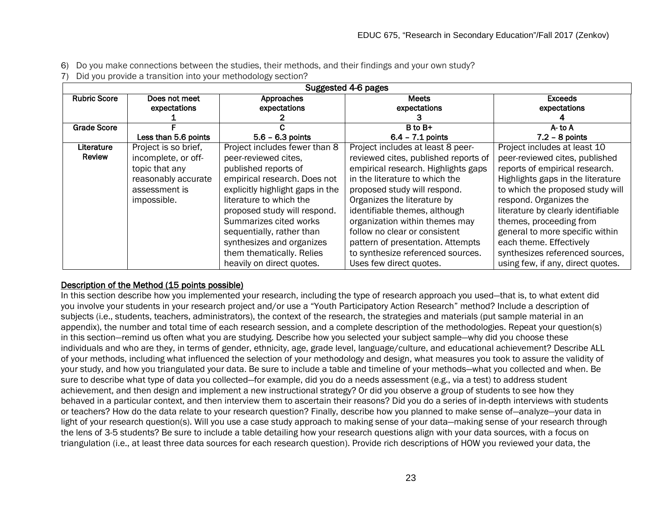- 6) Do you make connections between the studies, their methods, and their findings and your own study?
- 7) Did you provide a transition into your methodology section?

|                             | Suggested 4-6 pages                                                                                                  |                                                                                                                                                                                                                                                                                                                                                            |                                                                                                                                                                                                                                                                                                                                                                                                                            |                                                                                                                                                                                                                                                                                                                                                                                                            |  |
|-----------------------------|----------------------------------------------------------------------------------------------------------------------|------------------------------------------------------------------------------------------------------------------------------------------------------------------------------------------------------------------------------------------------------------------------------------------------------------------------------------------------------------|----------------------------------------------------------------------------------------------------------------------------------------------------------------------------------------------------------------------------------------------------------------------------------------------------------------------------------------------------------------------------------------------------------------------------|------------------------------------------------------------------------------------------------------------------------------------------------------------------------------------------------------------------------------------------------------------------------------------------------------------------------------------------------------------------------------------------------------------|--|
| <b>Rubric Score</b>         | Does not meet<br>expectations                                                                                        | Approaches<br>expectations                                                                                                                                                                                                                                                                                                                                 | <b>Meets</b><br>expectations                                                                                                                                                                                                                                                                                                                                                                                               | <b>Exceeds</b><br>expectations                                                                                                                                                                                                                                                                                                                                                                             |  |
| <b>Grade Score</b>          | Less than 5.6 points                                                                                                 | $5.6 - 6.3$ points                                                                                                                                                                                                                                                                                                                                         | B to B+<br>$6.4 - 7.1$ points                                                                                                                                                                                                                                                                                                                                                                                              | A-to A<br>$7.2 - 8$ points                                                                                                                                                                                                                                                                                                                                                                                 |  |
| Literature<br><b>Review</b> | Project is so brief,<br>incomplete, or off-<br>topic that any<br>reasonably accurate<br>assessment is<br>impossible. | Project includes fewer than 8<br>peer-reviewed cites,<br>published reports of<br>empirical research. Does not<br>explicitly highlight gaps in the<br>literature to which the<br>proposed study will respond.<br>Summarizes cited works<br>sequentially, rather than<br>synthesizes and organizes<br>them thematically. Relies<br>heavily on direct quotes. | Project includes at least 8 peer-<br>reviewed cites, published reports of<br>empirical research. Highlights gaps<br>in the literature to which the<br>proposed study will respond.<br>Organizes the literature by<br>identifiable themes, although<br>organization within themes may<br>follow no clear or consistent<br>pattern of presentation. Attempts<br>to synthesize referenced sources.<br>Uses few direct quotes. | Project includes at least 10<br>peer-reviewed cites, published<br>reports of empirical research.<br>Highlights gaps in the literature<br>to which the proposed study will<br>respond. Organizes the<br>literature by clearly identifiable<br>themes, proceeding from<br>general to more specific within<br>each theme. Effectively<br>synthesizes referenced sources,<br>using few, if any, direct quotes. |  |

### Description of the Method (15 points possible)

In this section describe how you implemented your research, including the type of research approach you used—that is, to what extent did you involve your students in your research project and/or use a "Youth Participatory Action Research" method? Include a description of subjects (i.e., students, teachers, administrators), the context of the research, the strategies and materials (put sample material in an appendix), the number and total time of each research session, and a complete description of the methodologies. Repeat your question(s) in this section—remind us often what you are studying. Describe how you selected your subject sample—why did you choose these individuals and who are they, in terms of gender, ethnicity, age, grade level, language/culture, and educational achievement? Describe ALL of your methods, including what influenced the selection of your methodology and design, what measures you took to assure the validity of your study, and how you triangulated your data. Be sure to include a table and timeline of your methods—what you collected and when. Be sure to describe what type of data you collected—for example, did you do a needs assessment (e.g., via a test) to address student achievement, and then design and implement a new instructional strategy? Or did you observe a group of students to see how they behaved in a particular context, and then interview them to ascertain their reasons? Did you do a series of in-depth interviews with students or teachers? How do the data relate to your research question? Finally, describe how you planned to make sense of—analyze—your data in light of your research question(s). Will you use a case study approach to making sense of your data—making sense of your research through the lens of 3-5 students? Be sure to include a table detailing how your research questions align with your data sources, with a focus on triangulation (i.e., at least three data sources for each research question). Provide rich descriptions of HOW you reviewed your data, the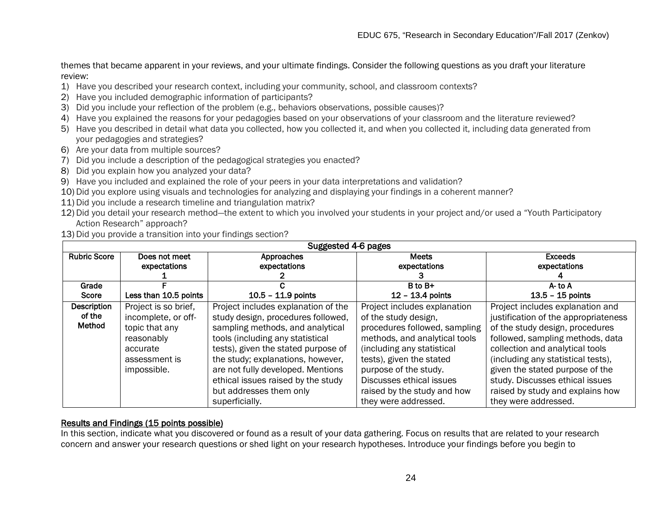themes that became apparent in your reviews, and your ultimate findings. Consider the following questions as you draft your literature review:

- 1) Have you described your research context, including your community, school, and classroom contexts?
- 2) Have you included demographic information of participants?
- 3) Did you include your reflection of the problem (e.g., behaviors observations, possible causes)?
- 4) Have you explained the reasons for your pedagogies based on your observations of your classroom and the literature reviewed?
- 5) Have you described in detail what data you collected, how you collected it, and when you collected it, including data generated from your pedagogies and strategies?
- 6) Are your data from multiple sources?
- 7) Did you include a description of the pedagogical strategies you enacted?
- 8) Did you explain how you analyzed your data?
- 9) Have you included and explained the role of your peers in your data interpretations and validation?
- 10) Did you explore using visuals and technologies for analyzing and displaying your findings in a coherent manner?
- 11) Did you include a research timeline and triangulation matrix?
- 12) Did you detail your research method—the extent to which you involved your students in your project and/or used a "Youth Participatory Action Research" approach?
- 13) Did you provide a transition into your findings section?

|                     | Suggested 4-6 pages   |                                     |                               |                                      |  |
|---------------------|-----------------------|-------------------------------------|-------------------------------|--------------------------------------|--|
| <b>Rubric Score</b> | Does not meet         | Approaches                          | <b>Meets</b>                  | <b>Exceeds</b>                       |  |
|                     | expectations          | expectations                        | expectations                  | expectations                         |  |
|                     |                       |                                     |                               |                                      |  |
| Grade               |                       |                                     | $B$ to $B+$                   | $A$ - to $A$                         |  |
| Score               | Less than 10.5 points | $10.5 - 11.9$ points                | $12 - 13.4$ points            | $13.5 - 15$ points                   |  |
| Description         | Project is so brief,  | Project includes explanation of the | Project includes explanation  | Project includes explanation and     |  |
| of the              | incomplete, or off-   | study design, procedures followed,  | of the study design,          | justification of the appropriateness |  |
| Method              | topic that any        | sampling methods, and analytical    | procedures followed, sampling | of the study design, procedures      |  |
|                     | reasonably            | tools (including any statistical    | methods, and analytical tools | followed, sampling methods, data     |  |
|                     | accurate              | tests), given the stated purpose of | (including any statistical    | collection and analytical tools      |  |
|                     | assessment is         | the study; explanations, however,   | tests), given the stated      | (including any statistical tests),   |  |
|                     | impossible.           | are not fully developed. Mentions   | purpose of the study.         | given the stated purpose of the      |  |
|                     |                       | ethical issues raised by the study  | Discusses ethical issues      | study. Discusses ethical issues      |  |
|                     |                       | but addresses them only             | raised by the study and how   | raised by study and explains how     |  |
|                     |                       | superficially.                      | they were addressed.          | they were addressed.                 |  |

### Results and Findings (15 points possible)

In this section, indicate what you discovered or found as a result of your data gathering. Focus on results that are related to your research concern and answer your research questions or shed light on your research hypotheses. Introduce your findings before you begin to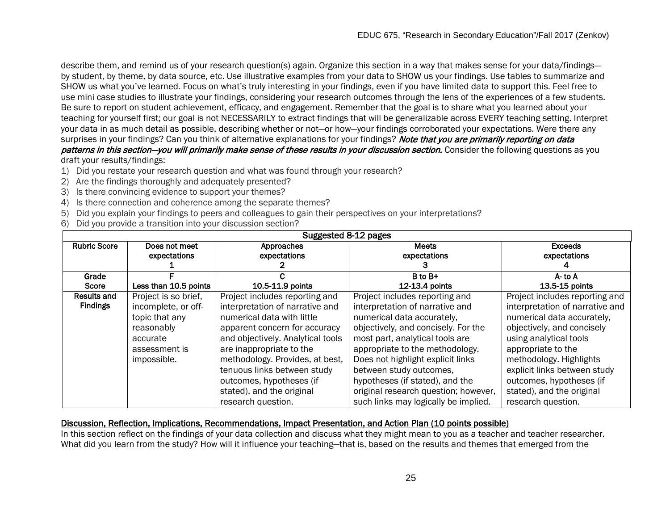describe them, and remind us of your research question(s) again. Organize this section in a way that makes sense for your data/findings by student, by theme, by data source, etc. Use illustrative examples from your data to SHOW us your findings. Use tables to summarize and SHOW us what you've learned. Focus on what's truly interesting in your findings, even if you have limited data to support this. Feel free to use mini case studies to illustrate your findings, considering your research outcomes through the lens of the experiences of a few students. Be sure to report on student achievement, efficacy, and engagement. Remember that the goal is to share what you learned about your teaching for yourself first; our goal is not NECESSARILY to extract findings that will be generalizable across EVERY teaching setting. Interpret your data in as much detail as possible, describing whether or not—or how—your findings corroborated your expectations. Were there any surprises in your findings? Can you think of alternative explanations for your findings? Note that you are primarily reporting on data patterns in this section—you will primarily make sense of these results in your discussion section. Consider the following questions as you

draft your results/findings:

- 1) Did you restate your research question and what was found through your research?
- 2) Are the findings thoroughly and adequately presented?
- 3) Is there convincing evidence to support your themes?
- 4) Is there connection and coherence among the separate themes?
- 5) Did you explain your findings to peers and colleagues to gain their perspectives on your interpretations?
- 6) Did you provide a transition into your discussion section?

| Suggested 8-12 pages                  |                                                                                                                         |                                                                                                                                                                                                                                                                                                 |                                                                                                                                                                                                                                                                                                                 |                                                                                                                                                                                                                                                                      |
|---------------------------------------|-------------------------------------------------------------------------------------------------------------------------|-------------------------------------------------------------------------------------------------------------------------------------------------------------------------------------------------------------------------------------------------------------------------------------------------|-----------------------------------------------------------------------------------------------------------------------------------------------------------------------------------------------------------------------------------------------------------------------------------------------------------------|----------------------------------------------------------------------------------------------------------------------------------------------------------------------------------------------------------------------------------------------------------------------|
| <b>Rubric Score</b>                   | Does not meet<br>expectations                                                                                           | Approaches<br>expectations                                                                                                                                                                                                                                                                      | <b>Meets</b><br>expectations                                                                                                                                                                                                                                                                                    | <b>Exceeds</b><br>expectations                                                                                                                                                                                                                                       |
| Grade                                 |                                                                                                                         |                                                                                                                                                                                                                                                                                                 | B to B+                                                                                                                                                                                                                                                                                                         | A-to A                                                                                                                                                                                                                                                               |
| Score                                 | Less than 10.5 points                                                                                                   | 10.5-11.9 points                                                                                                                                                                                                                                                                                | 12-13.4 points                                                                                                                                                                                                                                                                                                  | 13.5-15 points                                                                                                                                                                                                                                                       |
| <b>Results and</b><br><b>Findings</b> | Project is so brief,<br>incomplete, or off-<br>topic that any<br>reasonably<br>accurate<br>assessment is<br>impossible. | Project includes reporting and<br>interpretation of narrative and<br>numerical data with little<br>apparent concern for accuracy<br>and objectively. Analytical tools<br>are inappropriate to the<br>methodology. Provides, at best,<br>tenuous links between study<br>outcomes, hypotheses (if | Project includes reporting and<br>interpretation of narrative and<br>numerical data accurately,<br>objectively, and concisely. For the<br>most part, analytical tools are<br>appropriate to the methodology.<br>Does not highlight explicit links<br>between study outcomes,<br>hypotheses (if stated), and the | Project includes reporting and<br>interpretation of narrative and<br>numerical data accurately,<br>objectively, and concisely<br>using analytical tools<br>appropriate to the<br>methodology. Highlights<br>explicit links between study<br>outcomes, hypotheses (if |
|                                       |                                                                                                                         | stated), and the original<br>research question.                                                                                                                                                                                                                                                 | original research question; however,<br>such links may logically be implied.                                                                                                                                                                                                                                    | stated), and the original<br>research question.                                                                                                                                                                                                                      |

### Discussion, Reflection, Implications, Recommendations, Impact Presentation, and Action Plan (10 points possible)

In this section reflect on the findings of your data collection and discuss what they might mean to you as a teacher and teacher researcher. What did you learn from the study? How will it influence your teaching—that is, based on the results and themes that emerged from the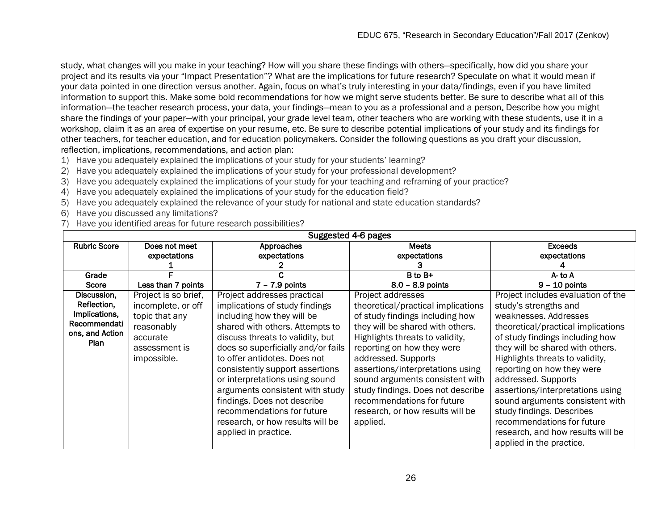study, what changes will you make in your teaching? How will you share these findings with others—specifically, how did you share your project and its results via your "Impact Presentation"? What are the implications for future research? Speculate on what it would mean if your data pointed in one direction versus another. Again, focus on what's truly interesting in your data/findings, even if you have limited information to support this. Make some bold recommendations for how we might serve students better. Be sure to describe what all of this information—the teacher research process, your data, your findings—mean to you as a professional and a person. Describe how you might share the findings of your paper—with your principal, your grade level team, other teachers who are working with these students, use it in a workshop, claim it as an area of expertise on your resume, etc. Be sure to describe potential implications of your study and its findings for other teachers, for teacher education, and for education policymakers. Consider the following questions as you draft your discussion, reflection, implications, recommendations, and action plan:

- 1) Have you adequately explained the implications of your study for your students' learning?
- 2) Have you adequately explained the implications of your study for your professional development?
- 3) Have you adequately explained the implications of your study for your teaching and reframing of your practice?
- 4) Have you adequately explained the implications of your study for the education field?
- 5) Have you adequately explained the relevance of your study for national and state education standards?
- 6) Have you discussed any limitations?
- 7) Have you identified areas for future research possibilities?

| Suggested 4-6 pages |                      |                                    |                                    |                                    |  |
|---------------------|----------------------|------------------------------------|------------------------------------|------------------------------------|--|
| <b>Rubric Score</b> | Does not meet        | Approaches                         | <b>Meets</b>                       | <b>Exceeds</b>                     |  |
|                     | expectations         | expectations                       | expectations                       | expectations                       |  |
|                     |                      |                                    | з                                  |                                    |  |
| Grade               |                      |                                    | B to B+                            | A-to A                             |  |
| <b>Score</b>        | Less than 7 points   | $7 - 7.9$ points                   | $8.0 - 8.9$ points                 | $9 - 10$ points                    |  |
| Discussion,         | Project is so brief, | Project addresses practical        | Project addresses                  | Project includes evaluation of the |  |
| Reflection,         | incomplete, or off   | implications of study findings     | theoretical/practical implications | study's strengths and              |  |
| Implications,       | topic that any       | including how they will be         | of study findings including how    | weaknesses. Addresses              |  |
| Recommendati        | reasonably           | shared with others. Attempts to    | they will be shared with others.   | theoretical/practical implications |  |
| ons, and Action     | accurate             | discuss threats to validity, but   | Highlights threats to validity,    | of study findings including how    |  |
| <b>Plan</b>         | assessment is        | does so superficially and/or fails | reporting on how they were         | they will be shared with others.   |  |
|                     | impossible.          | to offer antidotes. Does not       | addressed. Supports                | Highlights threats to validity,    |  |
|                     |                      | consistently support assertions    | assertions/interpretations using   | reporting on how they were         |  |
|                     |                      | or interpretations using sound     | sound arguments consistent with    | addressed. Supports                |  |
|                     |                      | arguments consistent with study    | study findings. Does not describe  | assertions/interpretations using   |  |
|                     |                      | findings. Does not describe        | recommendations for future         | sound arguments consistent with    |  |
|                     |                      | recommendations for future         | research, or how results will be   | study findings. Describes          |  |
|                     |                      | research, or how results will be   | applied.                           | recommendations for future         |  |
|                     |                      | applied in practice.               |                                    | research, and how results will be  |  |
|                     |                      |                                    |                                    |                                    |  |
|                     |                      |                                    |                                    | applied in the practice.           |  |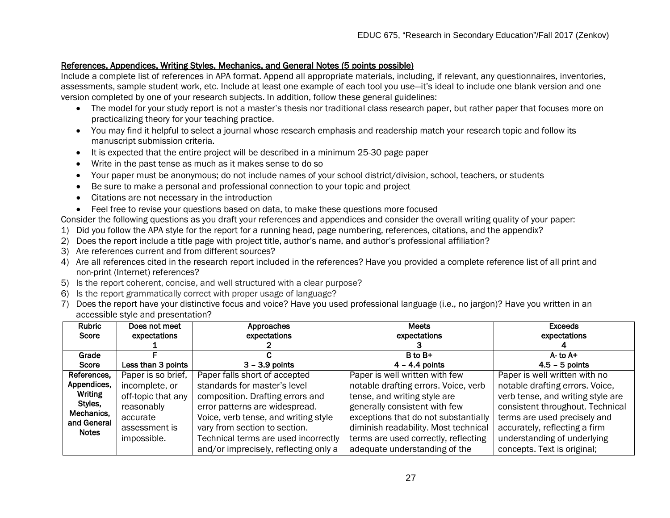### References, Appendices, Writing Styles, Mechanics, and General Notes (5 points possible)

Include a complete list of references in APA format. Append all appropriate materials, including, if relevant, any questionnaires, inventories, assessments, sample student work, etc. Include at least one example of each tool you use—it's ideal to include one blank version and one version completed by one of your research subjects. In addition, follow these general guidelines:

- The model for your study report is not a master's thesis nor traditional class research paper, but rather paper that focuses more on practicalizing theory for your teaching practice.
- You may find it helpful to select a journal whose research emphasis and readership match your research topic and follow its manuscript submission criteria.
- It is expected that the entire project will be described in a minimum 25-30 page paper
- Write in the past tense as much as it makes sense to do so
- Your paper must be anonymous; do not include names of your school district/division, school, teachers, or students
- Be sure to make a personal and professional connection to your topic and project
- Citations are not necessary in the introduction
- Feel free to revise your questions based on data, to make these questions more focused

Consider the following questions as you draft your references and appendices and consider the overall writing quality of your paper:

- 1) Did you follow the APA style for the report for a running head, page numbering, references, citations, and the appendix?
- 2) Does the report include a title page with project title, author's name, and author's professional affiliation?
- 3) Are references current and from different sources?
- 4) Are all references cited in the research report included in the references? Have you provided a complete reference list of all print and non-print (Internet) references?
- 5) Is the report coherent, concise, and well structured with a clear purpose?
- 6) Is the report grammatically correct with proper usage of language?
- 7) Does the report have your distinctive focus and voice? Have you used professional language (i.e., no jargon)? Have you written in an accessible style and presentation?

| Rubric       | Does not meet      | Approaches                            | <b>Meets</b>                         | <b>Exceeds</b>                    |
|--------------|--------------------|---------------------------------------|--------------------------------------|-----------------------------------|
| Score        | expectations       | expectations                          | expectations                         | expectations                      |
|              |                    |                                       |                                      |                                   |
| Grade        |                    |                                       | B to B+                              | A- to A+                          |
| Score        | Less than 3 points | $3 - 3.9$ points                      | $4 - 4.4$ points                     | $4.5 - 5$ points                  |
| References,  | Paper is so brief, | Paper falls short of accepted         | Paper is well written with few       | Paper is well written with no     |
| Appendices,  | incomplete, or     | standards for master's level          | notable drafting errors. Voice, verb | notable drafting errors. Voice,   |
| Writing      | off-topic that any | composition. Drafting errors and      | tense, and writing style are         | verb tense, and writing style are |
| Styles,      | reasonably         | error patterns are widespread.        | generally consistent with few        | consistent throughout. Technical  |
| Mechanics,   | accurate           | Voice, verb tense, and writing style  | exceptions that do not substantially | terms are used precisely and      |
| and General  | assessment is      | vary from section to section.         | diminish readability. Most technical | accurately, reflecting a firm     |
| <b>Notes</b> | impossible.        | Technical terms are used incorrectly  | terms are used correctly, reflecting | understanding of underlying       |
|              |                    | and/or imprecisely, reflecting only a | adequate understanding of the        | concepts. Text is original;       |